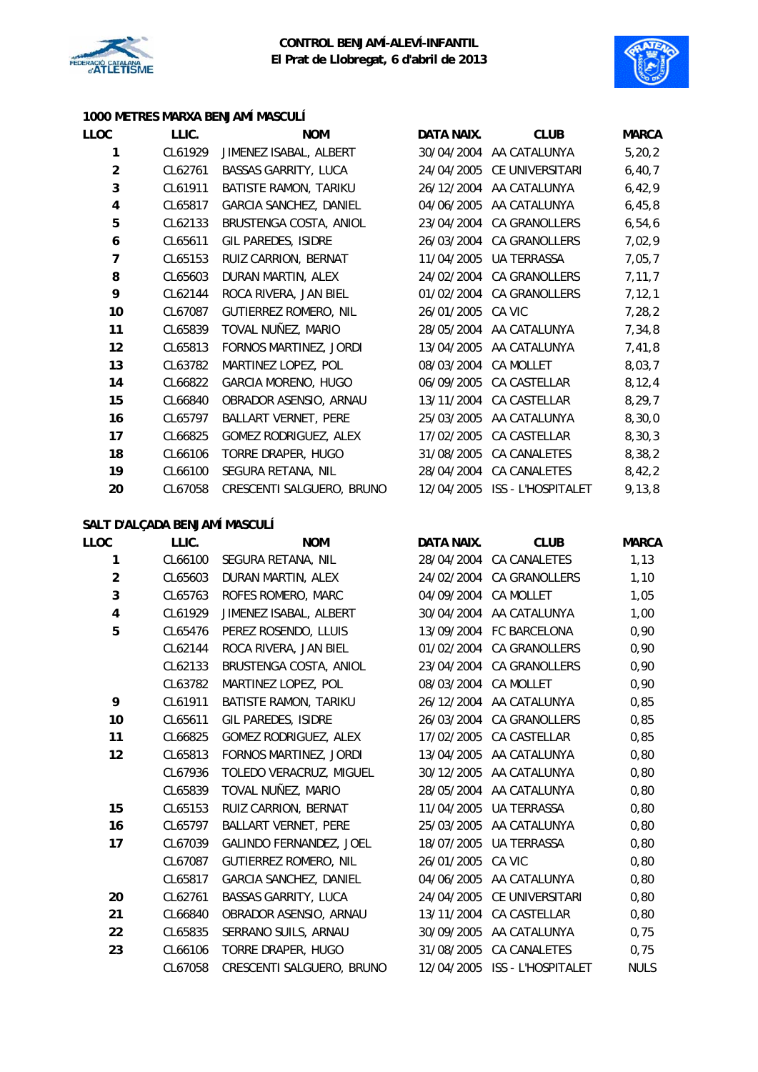



## **1000 METRES MARXA BENJAMÍ MASCULÍ**

| LLOC                    | LLIC.   | <b>NOM</b>                    | DATA NAIX. | <b>CLUB</b>               | <b>MARCA</b> |
|-------------------------|---------|-------------------------------|------------|---------------------------|--------------|
| 1                       | CL61929 | JIMENEZ ISABAL, ALBERT        |            | 30/04/2004 AA CATALUNYA   | 5, 20, 2     |
| $\overline{2}$          | CL62761 | <b>BASSAS GARRITY, LUCA</b>   | 24/04/2005 | CE UNIVERSITARI           | 6, 40, 7     |
| 3                       | CL61911 | BATISTE RAMON, TARIKU         | 26/12/2004 | AA CATALUNYA              | 6,42,9       |
| $\overline{\mathbf{4}}$ | CL65817 | <b>GARCIA SANCHEZ, DANIEL</b> | 04/06/2005 | AA CATALUNYA              | 6,45,8       |
| 5                       | CL62133 | BRUSTENGA COSTA, ANIOL        | 23/04/2004 | <b>CA GRANOLLERS</b>      | 6, 54, 6     |
| 6                       | CL65611 | GIL PAREDES, ISIDRE           | 26/03/2004 | CA GRANOLLERS             | 7,02,9       |
| $\overline{7}$          | CL65153 | RUIZ CARRION, BERNAT          | 11/04/2005 | <b>UA TERRASSA</b>        | 7,05,7       |
| 8                       | CL65603 | DURAN MARTIN, ALEX            | 24/02/2004 | CA GRANOLLERS             | 7, 11, 7     |
| 9                       | CL62144 | ROCA RIVERA, JAN BIEL         | 01/02/2004 | CA GRANOLLERS             | 7, 12, 1     |
| 10                      | CL67087 | GUTIERREZ ROMERO, NIL         | 26/01/2005 | CA VIC                    | 7, 28, 2     |
| 11                      | CL65839 | TOVAL NUÑEZ, MARIO            | 28/05/2004 | AA CATALUNYA              | 7,34,8       |
| 12                      | CL65813 | FORNOS MARTINEZ, JORDI        | 13/04/2005 | AA CATALUNYA              | 7,41,8       |
| 13                      | CL63782 | MARTINEZ LOPEZ, POL           | 08/03/2004 | <b>CA MOLLET</b>          | 8,03,7       |
| 14                      | CL66822 | GARCIA MORENO, HUGO           | 06/09/2005 | CA CASTELLAR              | 8, 12, 4     |
| 15                      | CL66840 | OBRADOR ASENSIO, ARNAU        | 13/11/2004 | CA CASTELLAR              | 8,29,7       |
| 16                      | CL65797 | <b>BALLART VERNET, PERE</b>   | 25/03/2005 | AA CATALUNYA              | 8,30,0       |
| 17                      | CL66825 | GOMEZ RODRIGUEZ, ALEX         | 17/02/2005 | CA CASTELLAR              | 8, 30, 3     |
| 18                      | CL66106 | TORRE DRAPER, HUGO            | 31/08/2005 | CA CANALETES              | 8,38,2       |
| 19                      | CL66100 | SEGURA RETANA, NIL            | 28/04/2004 | CA CANALETES              | 8,42,2       |
| 20                      | CL67058 | CRESCENTI SALGUERO, BRUNO     | 12/04/2005 | <b>ISS - L'HOSPITALET</b> | 9,13,8       |
|                         |         |                               |            |                           |              |

## **SALT D'ALÇADA BENJAMÍ MASCULÍ**

| LLOC                    | LLIC.   | <b>NOM</b>                  | DATA NAIX. | <b>CLUB</b>               | <b>MARCA</b> |
|-------------------------|---------|-----------------------------|------------|---------------------------|--------------|
| 1                       | CL66100 | SEGURA RETANA, NIL          | 28/04/2004 | CA CANALETES              | 1,13         |
| $\overline{2}$          | CL65603 | DURAN MARTIN, ALEX          | 24/02/2004 | <b>CA GRANOLLERS</b>      | 1,10         |
| 3                       | CL65763 | ROFES ROMERO, MARC          | 04/09/2004 | CA MOLLET                 | 1,05         |
| $\overline{\mathbf{4}}$ | CL61929 | JIMENEZ ISABAL, ALBERT      | 30/04/2004 | AA CATALUNYA              | 1,00         |
| 5                       | CL65476 | PEREZ ROSENDO, LLUIS        |            | 13/09/2004 FC BARCELONA   | 0,90         |
|                         | CL62144 | ROCA RIVERA, JAN BIEL       | 01/02/2004 | CA GRANOLLERS             | 0,90         |
|                         | CL62133 | BRUSTENGA COSTA, ANIOL      | 23/04/2004 | CA GRANOLLERS             | 0,90         |
|                         | CL63782 | MARTINEZ LOPEZ, POL         | 08/03/2004 | <b>CA MOLLET</b>          | 0,90         |
| 9                       | CL61911 | BATISTE RAMON, TARIKU       |            | 26/12/2004 AA CATALUNYA   | 0,85         |
| 10                      | CL65611 | GIL PAREDES, ISIDRE         | 26/03/2004 | <b>CA GRANOLLERS</b>      | 0,85         |
| 11                      | CL66825 | GOMEZ RODRIGUEZ, ALEX       | 17/02/2005 | CA CASTELLAR              | 0,85         |
| 12                      | CL65813 | FORNOS MARTINEZ, JORDI      | 13/04/2005 | AA CATALUNYA              | 0,80         |
|                         | CL67936 | TOLEDO VERACRUZ, MIGUEL     |            | 30/12/2005 AA CATALUNYA   | 0,80         |
|                         | CL65839 | TOVAL NUÑEZ, MARIO          | 28/05/2004 | AA CATALUNYA              | 0,80         |
| 15                      | CL65153 | RUIZ CARRION, BERNAT        | 11/04/2005 | UA TERRASSA               | 0,80         |
| 16                      | CL65797 | <b>BALLART VERNET, PERE</b> | 25/03/2005 | AA CATALUNYA              | 0,80         |
| 17                      | CL67039 | GALINDO FERNANDEZ, JOEL     | 18/07/2005 | <b>UA TERRASSA</b>        | 0,80         |
|                         | CL67087 | GUTIERREZ ROMERO, NIL       | 26/01/2005 | CA VIC                    | 0,80         |
|                         | CL65817 | GARCIA SANCHEZ, DANIEL      |            | 04/06/2005 AA CATALUNYA   | 0,80         |
| 20                      | CL62761 | <b>BASSAS GARRITY, LUCA</b> | 24/04/2005 | CE UNIVERSITARI           | 0,80         |
| 21                      | CL66840 | OBRADOR ASENSIO, ARNAU      | 13/11/2004 | CA CASTELLAR              | 0,80         |
| 22                      | CL65835 | SERRANO SUILS, ARNAU        | 30/09/2005 | AA CATALUNYA              | 0,75         |
| 23                      | CL66106 | TORRE DRAPER, HUGO          | 31/08/2005 | <b>CA CANALETES</b>       | 0,75         |
|                         | CL67058 | CRESCENTI SALGUERO, BRUNO   | 12/04/2005 | <b>ISS - L'HOSPITALET</b> | <b>NULS</b>  |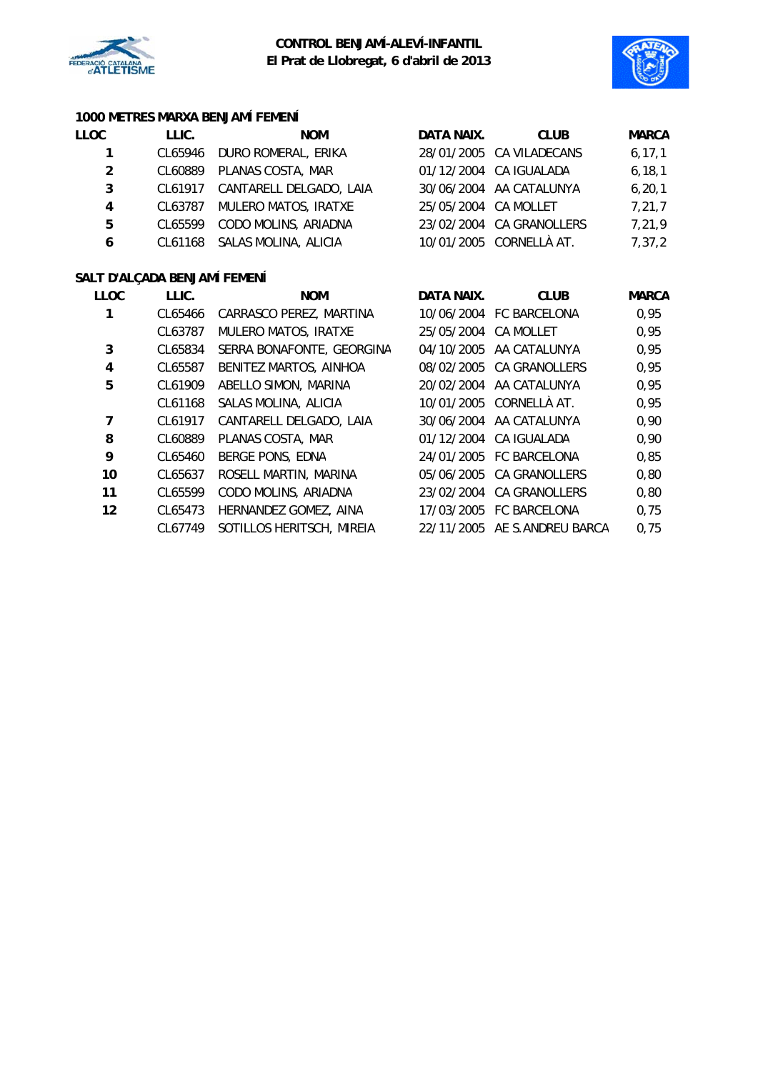



## **1000 METRES MARXA BENJAMÍ FEMENÍ**

| LLOC        | LLIC.                        | <b>NOM</b>              | DATA NAIX.           | <b>CLUB</b>              | <b>MARCA</b> |
|-------------|------------------------------|-------------------------|----------------------|--------------------------|--------------|
|             | CL65946                      | DURO ROMERAL, ERIKA     |                      | 28/01/2005 CA VILADECANS | 6, 17, 1     |
| 2           | CL60889                      | PLANAS COSTA, MAR       |                      | 01/12/2004 CA IGUALADA   | 6, 18, 1     |
| 3           | CL61917                      | CANTARELL DELGADO, LAIA |                      | 30/06/2004 AA CATALUNYA  | 6, 20, 1     |
| 4           | CL63787                      | MULERO MATOS, IRATXE    | 25/05/2004 CA MOLLET |                          | 7, 21, 7     |
| 5           | CL65599                      | CODO MOLINS, ARIADNA    |                      | 23/02/2004 CA GRANOLLERS | 7,21,9       |
| 6           | CL61168                      | SALAS MOLINA, ALICIA    |                      | 10/01/2005 CORNELLÀ AT.  | 7,37,2       |
|             | SALT D'ALÇADA BENJAMÍ FEMENÍ |                         |                      |                          |              |
| <b>LLOC</b> | LLIC.                        | <b>NOM</b>              | DATA NAIX.           | <b>CLUB</b>              | <b>MARCA</b> |
|             |                              |                         |                      |                          |              |

| ᄔᅛ | LLIV.   | <b>IVUUI</b>              | DAIA IVAIA.          | <b>VLUD</b>                  | <b>IVIARCA</b> |
|----|---------|---------------------------|----------------------|------------------------------|----------------|
|    | CL65466 | CARRASCO PEREZ, MARTINA   |                      | 10/06/2004 FC BARCELONA      | 0,95           |
|    | CL63787 | MULERO MATOS, IRATXE      | 25/05/2004 CA MOLLET |                              | 0,95           |
| 3  | CL65834 | SERRA BONAFONTE, GEORGINA |                      | 04/10/2005 AA CATALUNYA      | 0,95           |
| 4  | CL65587 | BENITEZ MARTOS, AINHOA    |                      | 08/02/2005 CA GRANOLLERS     | 0,95           |
| 5  | CL61909 | ABELLO SIMON, MARINA      |                      | 20/02/2004 AA CATALUNYA      | 0,95           |
|    | CL61168 | SALAS MOLINA, ALICIA      |                      | 10/01/2005 CORNELLÀ AT.      | 0,95           |
| 7  | CL61917 | CANTARELL DELGADO, LAIA   |                      | 30/06/2004 AA CATALUNYA      | 0,90           |
| 8  | CL60889 | PLANAS COSTA, MAR         |                      | 01/12/2004 CA IGUALADA       | 0,90           |
| 9  | CL65460 | BERGE PONS, EDNA          |                      | 24/01/2005 FC BARCELONA      | 0,85           |
| 10 | CL65637 | ROSELL MARTIN, MARINA     |                      | 05/06/2005 CA GRANOLLERS     | 0,80           |
| 11 | CL65599 | CODO MOLINS, ARIADNA      |                      | 23/02/2004 CA GRANOLLERS     | 0,80           |
| 12 | CL65473 | HERNANDEZ GOMEZ, AINA     |                      | 17/03/2005 FC BARCELONA      | 0,75           |
|    | CL67749 | SOTILLOS HERITSCH, MIREIA |                      | 22/11/2005 AE S.ANDREU BARCA | 0,75           |
|    |         |                           |                      |                              |                |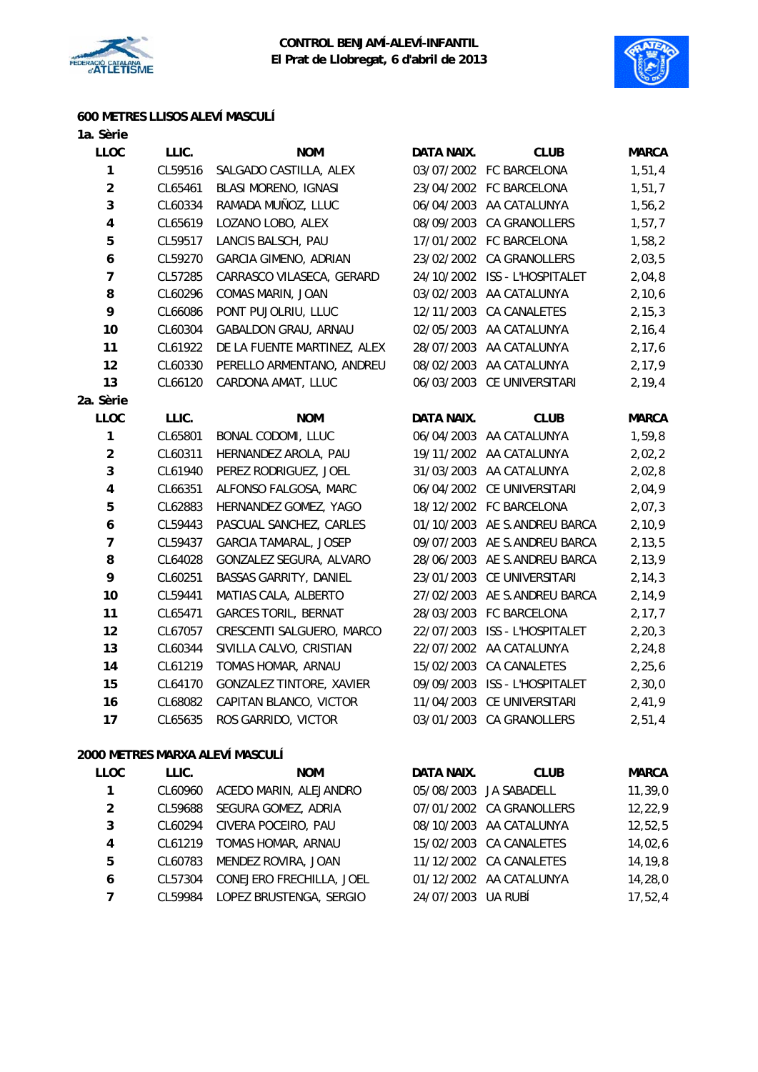



## **600 METRES LLISOS ALEVÍ MASCULÍ**

| 1a. Sèrie               |         |                               |                   |                               |              |
|-------------------------|---------|-------------------------------|-------------------|-------------------------------|--------------|
| <b>LLOC</b>             | LLIC.   | <b>NOM</b>                    | DATA NAIX.        | <b>CLUB</b>                   | <b>MARCA</b> |
| $\mathbf{1}$            | CL59516 | SALGADO CASTILLA, ALEX        |                   | 03/07/2002 FC BARCELONA       | 1,51,4       |
| $\overline{\mathbf{c}}$ | CL65461 | <b>BLASI MORENO, IGNASI</b>   |                   | 23/04/2002 FC BARCELONA       | 1, 51, 7     |
| 3                       | CL60334 | RAMADA MUÑOZ, LLUC            |                   | 06/04/2003 AA CATALUNYA       | 1,56,2       |
| $\overline{\mathbf{4}}$ | CL65619 | LOZANO LOBO, ALEX             |                   | 08/09/2003 CA GRANOLLERS      | 1, 57, 7     |
| 5                       | CL59517 | LANCIS BALSCH, PAU            |                   | 17/01/2002 FC BARCELONA       | 1,58,2       |
| 6                       | CL59270 | <b>GARCIA GIMENO, ADRIAN</b>  |                   | 23/02/2002 CA GRANOLLERS      | 2,03,5       |
| $\overline{7}$          | CL57285 | CARRASCO VILASECA, GERARD     |                   | 24/10/2002 ISS - L'HOSPITALET | 2,04,8       |
| 8                       | CL60296 | COMAS MARIN, JOAN             | 03/02/2003        | AA CATALUNYA                  | 2,10,6       |
| 9                       | CL66086 | PONT PUJOLRIU, LLUC           | 12/11/2003        | CA CANALETES                  | 2, 15, 3     |
| 10                      | CL60304 | GABALDON GRAU, ARNAU          |                   | 02/05/2003 AA CATALUNYA       | 2, 16, 4     |
| 11                      | CL61922 | DE LA FUENTE MARTINEZ, ALEX   |                   | 28/07/2003 AA CATALUNYA       | 2, 17, 6     |
| 12                      | CL60330 | PERELLO ARMENTANO, ANDREU     | 08/02/2003        | AA CATALUNYA                  | 2, 17, 9     |
| 13                      | CL66120 | CARDONA AMAT, LLUC            |                   | 06/03/2003 CE UNIVERSITARI    | 2, 19, 4     |
| 2a. Sèrie               |         |                               |                   |                               |              |
| <b>LLOC</b>             | LLIC.   | <b>NOM</b>                    | <b>DATA NAIX.</b> | <b>CLUB</b>                   | <b>MARCA</b> |
| $\mathbf{1}$            | CL65801 | <b>BONAL CODOMI, LLUC</b>     |                   | 06/04/2003 AA CATALUNYA       | 1,59,8       |
| $\overline{2}$          | CL60311 | HERNANDEZ AROLA, PAU          |                   | 19/11/2002 AA CATALUNYA       | 2,02,2       |
| 3                       | CL61940 | PEREZ RODRIGUEZ, JOEL         | 31/03/2003        | AA CATALUNYA                  | 2,02,8       |
| $\overline{\mathbf{4}}$ | CL66351 | ALFONSO FALGOSA, MARC         |                   | 06/04/2002 CE UNIVERSITARI    | 2,04,9       |
| 5                       | CL62883 | HERNANDEZ GOMEZ, YAGO         |                   | 18/12/2002 FC BARCELONA       | 2,07,3       |
| 6                       | CL59443 | PASCUAL SANCHEZ, CARLES       |                   | 01/10/2003 AE S.ANDREU BARCA  | 2, 10, 9     |
| $\overline{7}$          | CL59437 | <b>GARCIA TAMARAL, JOSEP</b>  | 09/07/2003        | AE S.ANDREU BARCA             | 2, 13, 5     |
| 8                       | CL64028 | GONZALEZ SEGURA, ALVARO       |                   | 28/06/2003 AE S.ANDREU BARCA  | 2, 13, 9     |
| 9                       | CL60251 | <b>BASSAS GARRITY, DANIEL</b> | 23/01/2003        | CE UNIVERSITARI               | 2, 14, 3     |
| 10                      | CL59441 | MATIAS CALA, ALBERTO          | 27/02/2003        | AE S.ANDREU BARCA             | 2,14,9       |
| 11                      | CL65471 | <b>GARCES TORIL, BERNAT</b>   | 28/03/2003        | FC BARCELONA                  | 2, 17, 7     |
| 12                      | CL67057 | CRESCENTI SALGUERO, MARCO     |                   | 22/07/2003 ISS - L'HOSPITALET | 2, 20, 3     |
| 13                      | CL60344 | SIVILLA CALVO, CRISTIAN       |                   | 22/07/2002 AA CATALUNYA       | 2, 24, 8     |
| 14                      | CL61219 | TOMAS HOMAR, ARNAU            | 15/02/2003        | CA CANALETES                  | 2, 25, 6     |
| 15                      | CL64170 | GONZALEZ TINTORE, XAVIER      | 09/09/2003        | ISS - L'HOSPITALET            | 2,30,0       |
| 16                      | CL68082 | CAPITAN BLANCO, VICTOR        | 11/04/2003        | CE UNIVERSITARI               | 2,41,9       |
| 17                      | CL65635 | ROS GARRIDO, VICTOR           |                   | 03/01/2003 CA GRANOLLERS      | 2,51,4       |

## **2000 METRES MARXA ALEVÍ MASCULÍ**

| <b>LLOC</b> | LLIC.   | <b>NOM</b>               | DATA NAIX. | <b>CLUB</b>              | <b>MARCA</b> |
|-------------|---------|--------------------------|------------|--------------------------|--------------|
| 1.          | CL60960 | ACEDO MARIN, ALEJANDRO   |            | 05/08/2003 JA SABADELL   | 11, 39, 0    |
| 2           | CL59688 | SEGURA GOMEZ, ADRIA      |            | 07/01/2002 CA GRANOLLERS | 12, 22, 9    |
| 3           | CL60294 | CIVERA POCEIRO, PAU      |            | 08/10/2003 AA CATALUNYA  | 12,52,5      |
| 4           | CL61219 | TOMAS HOMAR, ARNAU       |            | 15/02/2003 CA CANALETES  | 14,02,6      |
| 5           | CL60783 | MENDEZ ROVIRA, JOAN      |            | 11/12/2002 CA CANALETES  | 14,19,8      |
| 6           | CL57304 | CONEJERO FRECHILLA, JOEL |            | 01/12/2002 AA CATALUNYA  | 14,28,0      |
| 7           | CL59984 | LOPEZ BRUSTENGA, SERGIO  | 24/07/2003 | UA RUBÍ                  | 17,52,4      |
|             |         |                          |            |                          |              |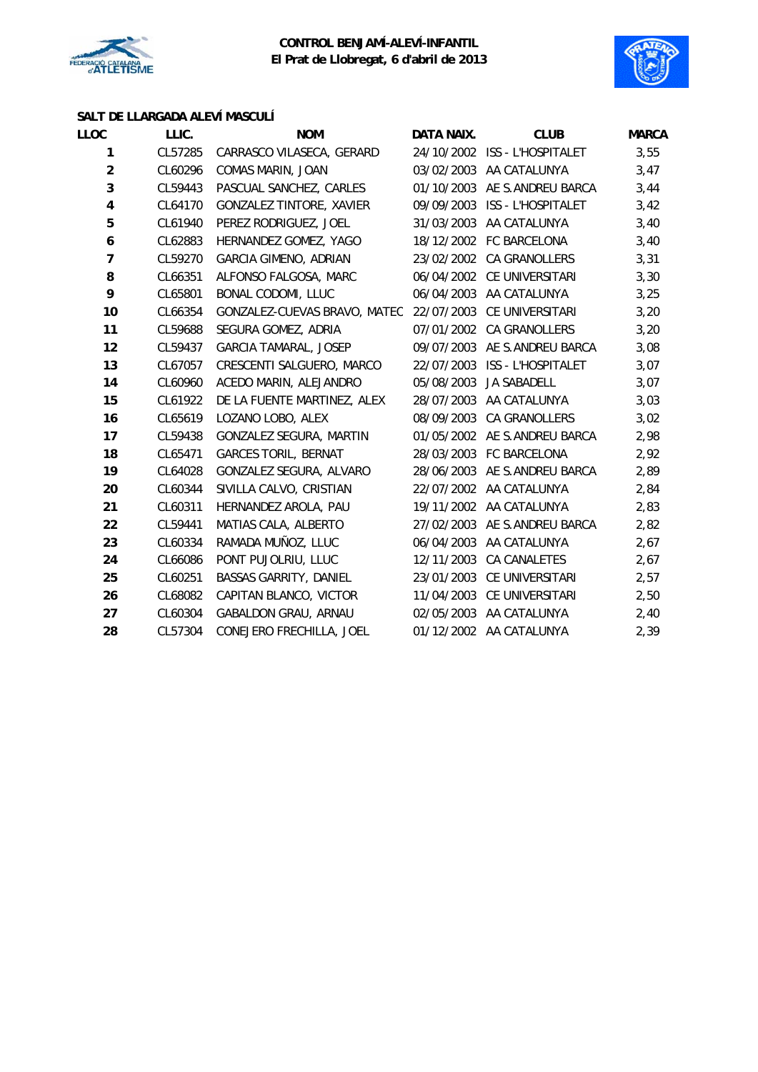



## **SALT DE LLARGADA ALEVÍ MASCULÍ**

| LLOC                    | LLIC.   | <b>NOM</b>                                              | DATA NAIX. | <b>CLUB</b>                   | <b>MARCA</b> |
|-------------------------|---------|---------------------------------------------------------|------------|-------------------------------|--------------|
| $\mathbf{1}$            | CL57285 | CARRASCO VILASECA, GERARD                               |            | 24/10/2002 ISS - L'HOSPITALET | 3,55         |
| $\overline{a}$          | CL60296 | COMAS MARIN, JOAN                                       | 03/02/2003 | AA CATALUNYA                  | 3,47         |
| 3                       | CL59443 | PASCUAL SANCHEZ, CARLES                                 |            | 01/10/2003 AE S.ANDREU BARCA  | 3,44         |
| $\overline{\mathbf{4}}$ | CL64170 | GONZALEZ TINTORE, XAVIER                                |            | 09/09/2003 ISS - L'HOSPITALET | 3,42         |
| 5                       | CL61940 | PEREZ RODRIGUEZ, JOEL                                   |            | 31/03/2003 AA CATALUNYA       | 3,40         |
| 6                       | CL62883 | HERNANDEZ GOMEZ, YAGO                                   |            | 18/12/2002 FC BARCELONA       | 3,40         |
| $\overline{7}$          | CL59270 | <b>GARCIA GIMENO, ADRIAN</b>                            |            | 23/02/2002 CA GRANOLLERS      | 3,31         |
| 8                       | CL66351 | ALFONSO FALGOSA, MARC                                   |            | 06/04/2002 CE UNIVERSITARI    | 3,30         |
| 9                       | CL65801 | BONAL CODOMI, LLUC                                      | 06/04/2003 | AA CATALUNYA                  | 3,25         |
| 10                      | CL66354 | GONZALEZ-CUEVAS BRAVO, MATEO 22/07/2003 CE UNIVERSITARI |            |                               | 3,20         |
| 11                      | CL59688 | SEGURA GOMEZ, ADRIA                                     |            | 07/01/2002 CA GRANOLLERS      | 3,20         |
| 12                      | CL59437 | <b>GARCIA TAMARAL, JOSEP</b>                            |            | 09/07/2003 AE S.ANDREU BARCA  | 3,08         |
| 13                      | CL67057 | CRESCENTI SALGUERO, MARCO                               | 22/07/2003 | ISS - L'HOSPITALET            | 3,07         |
| 14                      | CL60960 | ACEDO MARIN, ALEJANDRO                                  | 05/08/2003 | JA SABADELL                   | 3,07         |
| 15                      | CL61922 | DE LA FUENTE MARTINEZ, ALEX                             |            | 28/07/2003 AA CATALUNYA       | 3,03         |
| 16                      | CL65619 | LOZANO LOBO, ALEX                                       | 08/09/2003 | CA GRANOLLERS                 | 3,02         |
| 17                      | CL59438 | <b>GONZALEZ SEGURA, MARTIN</b>                          |            | 01/05/2002 AE S.ANDREU BARCA  | 2,98         |
| 18                      | CL65471 | <b>GARCES TORIL, BERNAT</b>                             |            | 28/03/2003 FC BARCELONA       | 2,92         |
| 19                      | CL64028 | GONZALEZ SEGURA, ALVARO                                 |            | 28/06/2003 AE S.ANDREU BARCA  | 2,89         |
| 20                      | CL60344 | SIVILLA CALVO, CRISTIAN                                 |            | 22/07/2002 AA CATALUNYA       | 2,84         |
| 21                      | CL60311 | HERNANDEZ AROLA, PAU                                    |            | 19/11/2002 AA CATALUNYA       | 2,83         |
| 22                      | CL59441 | MATIAS CALA, ALBERTO                                    |            | 27/02/2003 AE S.ANDREU BARCA  | 2,82         |
| 23                      | CL60334 | RAMADA MUÑOZ, LLUC                                      | 06/04/2003 | AA CATALUNYA                  | 2,67         |
| 24                      | CL66086 | PONT PUJOLRIU, LLUC                                     |            | 12/11/2003 CA CANALETES       | 2,67         |
| 25                      | CL60251 | BASSAS GARRITY, DANIEL                                  | 23/01/2003 | CE UNIVERSITARI               | 2,57         |
| 26                      | CL68082 | CAPITAN BLANCO, VICTOR                                  | 11/04/2003 | CE UNIVERSITARI               | 2,50         |
| 27                      | CL60304 | GABALDON GRAU, ARNAU                                    |            | 02/05/2003 AA CATALUNYA       | 2,40         |
| 28                      | CL57304 | CONEJERO FRECHILLA, JOEL                                |            | 01/12/2002 AA CATALUNYA       | 2,39         |
|                         |         |                                                         |            |                               |              |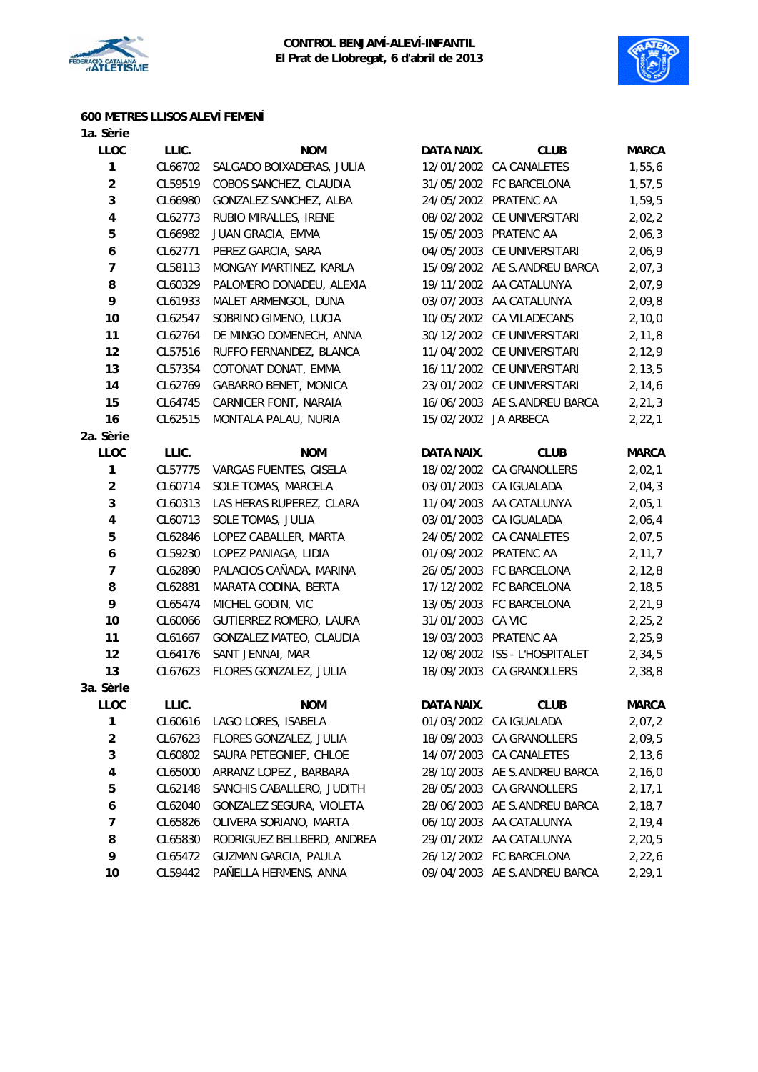



## **600 METRES LLISOS ALEVÍ FEMENÍ**

| 1a. Sèrie               |         |                             |                      |                              |              |
|-------------------------|---------|-----------------------------|----------------------|------------------------------|--------------|
| <b>LLOC</b>             | LLIC.   | <b>NOM</b>                  | DATA NAIX.           | <b>CLUB</b>                  | <b>MARCA</b> |
| 1                       | CL66702 | SALGADO BOIXADERAS, JULIA   |                      | 12/01/2002 CA CANALETES      | 1,55,6       |
| $\overline{a}$          | CL59519 | COBOS SANCHEZ, CLAUDIA      |                      | 31/05/2002 FC BARCELONA      | 1,57,5       |
| 3                       | CL66980 | GONZALEZ SANCHEZ, ALBA      |                      | 24/05/2002 PRATENC AA        | 1,59,5       |
| $\overline{\mathbf{4}}$ | CL62773 | RUBIO MIRALLES, IRENE       |                      | 08/02/2002 CE UNIVERSITARI   | 2,02,2       |
| 5                       | CL66982 | JUAN GRACIA, EMMA           |                      | 15/05/2003 PRATENC AA        | 2,06,3       |
| 6                       | CL62771 | PEREZ GARCIA, SARA          | 04/05/2003           | CE UNIVERSITARI              | 2,06,9       |
| $\overline{7}$          | CL58113 | MONGAY MARTINEZ, KARLA      |                      | 15/09/2002 AE S.ANDREU BARCA | 2,07,3       |
| 8                       | CL60329 | PALOMERO DONADEU, ALEXIA    |                      | 19/11/2002 AA CATALUNYA      | 2,07,9       |
| 9                       | CL61933 | MALET ARMENGOL, DUNA        |                      | 03/07/2003 AA CATALUNYA      | 2,09,8       |
| 10                      | CL62547 | SOBRINO GIMENO, LUCIA       | 10/05/2002           | CA VILADECANS                | 2,10,0       |
| 11                      | CL62764 | DE MINGO DOMENECH, ANNA     |                      | 30/12/2002 CE UNIVERSITARI   | 2, 11, 8     |
| 12                      | CL57516 | RUFFO FERNANDEZ, BLANCA     |                      | 11/04/2002 CE UNIVERSITARI   | 2,12,9       |
| 13                      | CL57354 | COTONAT DONAT, EMMA         |                      | 16/11/2002 CE UNIVERSITARI   | 2, 13, 5     |
| 14                      | CL62769 | GABARRO BENET, MONICA       |                      | 23/01/2002 CE UNIVERSITARI   | 2, 14, 6     |
| 15                      | CL64745 | CARNICER FONT, NARAIA       |                      | 16/06/2003 AE S.ANDREU BARCA | 2, 21, 3     |
| 16                      | CL62515 | MONTALA PALAU, NURIA        | 15/02/2002 JA ARBECA |                              | 2, 22, 1     |
| 2a. Sèrie               |         |                             |                      |                              |              |
| LLOC                    | LLIC.   | <b>NOM</b>                  | DATA NAIX.           | <b>CLUB</b>                  | <b>MARCA</b> |
| 1                       | CL57775 | VARGAS FUENTES, GISELA      | 18/02/2002           | CA GRANOLLERS                | 2,02,1       |
| $\overline{2}$          | CL60714 | SOLE TOMAS, MARCELA         | 03/01/2003           | CA IGUALADA                  | 2,04,3       |
| 3                       | CL60313 | LAS HERAS RUPEREZ, CLARA    |                      | 11/04/2003 AA CATALUNYA      | 2,05,1       |
| 4                       | CL60713 | SOLE TOMAS, JULIA           |                      | 03/01/2003 CA IGUALADA       | 2,06,4       |
| 5                       | CL62846 | LOPEZ CABALLER, MARTA       |                      | 24/05/2002 CA CANALETES      | 2,07,5       |
| 6                       | CL59230 | LOPEZ PANIAGA, LIDIA        |                      | 01/09/2002 PRATENC AA        | 2, 11, 7     |
| $\overline{7}$          | CL62890 | PALACIOS CAÑADA, MARINA     | 26/05/2003           | FC BARCELONA                 | 2, 12, 8     |
| 8                       | CL62881 | MARATA CODINA, BERTA        | 17/12/2002           | FC BARCELONA                 | 2, 18, 5     |
| 9                       | CL65474 | MICHEL GODIN, VIC           |                      | 13/05/2003 FC BARCELONA      | 2,21,9       |
| 10                      | CL60066 | GUTIERREZ ROMERO, LAURA     | 31/01/2003 CA VIC    |                              | 2, 25, 2     |
| 11                      | CL61667 | GONZALEZ MATEO, CLAUDIA     |                      | 19/03/2003 PRATENC AA        | 2, 25, 9     |
| 12                      | CL64176 | SANT JENNAI, MAR            | 12/08/2002           | ISS - L'HOSPITALET           | 2,34,5       |
| 13                      | CL67623 | FLORES GONZALEZ, JULIA      |                      | 18/09/2003 CA GRANOLLERS     | 2,38,8       |
| 3a. Sèrie               |         |                             |                      |                              |              |
| <b>LLOC</b>             | LLIC.   | <b>NOM</b>                  | DATA NAIX.           | <b>CLUB</b>                  | <b>MARCA</b> |
| 1                       | CL60616 | LAGO LORES, ISABELA         | 01/03/2002           | CA IGUALADA                  | 2,07,2       |
| $\overline{\mathbf{c}}$ | CL67623 | FLORES GONZALEZ, JULIA      | 18/09/2003           | CA GRANOLLERS                | 2,09,5       |
| 3                       | CL60802 | SAURA PETEGNIEF, CHLOE      | 14/07/2003           | CA CANALETES                 | 2, 13, 6     |
| 4                       | CL65000 | ARRANZ LOPEZ, BARBARA       | 28/10/2003           | AE S.ANDREU BARCA            | 2,16,0       |
| 5                       | CL62148 | SANCHIS CABALLERO, JUDITH   | 28/05/2003           | CA GRANOLLERS                | 2, 17, 1     |
| 6                       | CL62040 | GONZALEZ SEGURA, VIOLETA    | 28/06/2003           | AE S.ANDREU BARCA            | 2, 18, 7     |
| 7                       | CL65826 | OLIVERA SORIANO, MARTA      | 06/10/2003           | AA CATALUNYA                 | 2,19,4       |
| 8                       | CL65830 | RODRIGUEZ BELLBERD, ANDREA  | 29/01/2002           | AA CATALUNYA                 | 2, 20, 5     |
| 9                       | CL65472 | <b>GUZMAN GARCIA, PAULA</b> |                      | 26/12/2002 FC BARCELONA      | 2,22,6       |
| 10                      | CL59442 | PAÑELLA HERMENS, ANNA       |                      | 09/04/2003 AE S.ANDREU BARCA | 2, 29, 1     |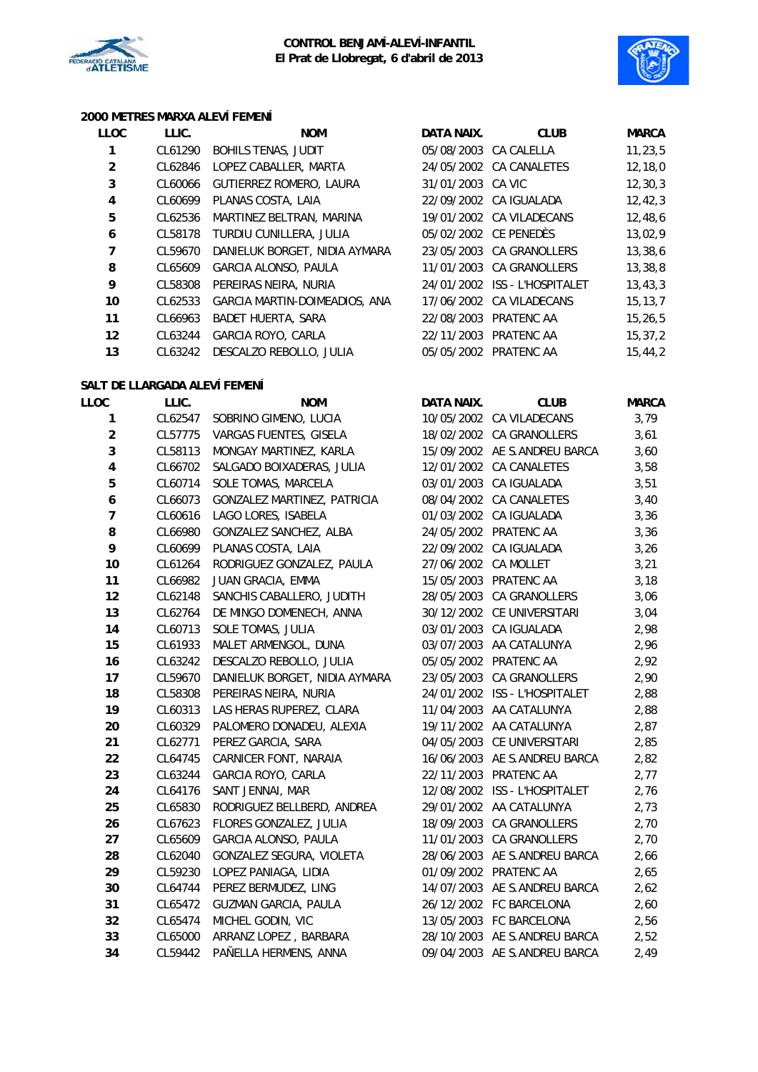



#### **2000 METRES MARXA ALEVÍ FEMENÍ**

| <b>LLOC</b> | LLIC.   | <b>NOM</b>                    | DATA NAIX.        | <b>CLUB</b>                   | <b>MARCA</b> |
|-------------|---------|-------------------------------|-------------------|-------------------------------|--------------|
| 1           | CL61290 | <b>BOHILS TENAS, JUDIT</b>    |                   | 05/08/2003 CA CALELLA         | 11, 23, 5    |
| 2           | CL62846 | LOPEZ CABALLER, MARTA         |                   | 24/05/2002 CA CANALETES       | 12, 18, 0    |
| 3           | CL60066 | GUTIERREZ ROMERO, LAURA       | 31/01/2003 CA VIC |                               | 12, 30, 3    |
| 4           | CL60699 | PLANAS COSTA, LAIA            |                   | 22/09/2002 CA IGUALADA        | 12, 42, 3    |
| 5           | CL62536 | MARTINEZ BELTRAN, MARINA      |                   | 19/01/2002 CA VILADECANS      | 12,48,6      |
| 6           | CL58178 | TURDIU CUNILLERA, JULIA       |                   | 05/02/2002 CE PENEDÈS         | 13,02,9      |
| 7           | CL59670 | DANIELUK BORGET, NIDIA AYMARA |                   | 23/05/2003 CA GRANOLLERS      | 13,38,6      |
| 8           | CL65609 | GARCIA ALONSO, PAULA          |                   | 11/01/2003 CA GRANOLLERS      | 13,38,8      |
| 9           | CL58308 | PEREIRAS NEIRA, NURIA         |                   | 24/01/2002 ISS - L'HOSPITALET | 13, 43, 3    |
| 10          | CL62533 | GARCIA MARTIN-DOIMEADIOS, ANA |                   | 17/06/2002 CA VILADECANS      | 15, 13, 7    |
| 11          | CL66963 | <b>BADET HUERTA, SARA</b>     | 22/08/2003        | PRATENC AA                    | 15, 26, 5    |
| 12          | CL63244 | <b>GARCIA ROYO, CARLA</b>     | 22/11/2003        | PRATENC AA                    | 15, 37, 2    |
| 13          | CL63242 | DESCALZO REBOLLO, JULIA       |                   | 05/05/2002 PRATENC AA         | 15,44,2      |

#### **SALT DE LLARGADA ALEVÍ FEMENÍ**

| LLOC                    | LLIC.   | <b>NOM</b>                    | DATA NAIX. | <b>CLUB</b>                   | <b>MARCA</b> |
|-------------------------|---------|-------------------------------|------------|-------------------------------|--------------|
| 1                       | CL62547 | SOBRINO GIMENO, LUCIA         |            | 10/05/2002 CA VILADECANS      | 3,79         |
| $\overline{a}$          | CL57775 | VARGAS FUENTES, GISELA        |            | 18/02/2002 CA GRANOLLERS      | 3,61         |
| 3                       | CL58113 | MONGAY MARTINEZ, KARLA        |            | 15/09/2002 AE S.ANDREU BARCA  | 3,60         |
| $\overline{\mathbf{4}}$ | CL66702 | SALGADO BOIXADERAS, JULIA     |            | 12/01/2002 CA CANALETES       | 3,58         |
| 5                       | CL60714 | SOLE TOMAS, MARCELA           |            | 03/01/2003 CA IGUALADA        | 3,51         |
| 6                       | CL66073 | GONZALEZ MARTINEZ, PATRICIA   | 08/04/2002 | CA CANALETES                  | 3,40         |
| $\overline{7}$          | CL60616 | LAGO LORES, ISABELA           | 01/03/2002 | CA IGUALADA                   | 3,36         |
| 8                       | CL66980 | GONZALEZ SANCHEZ, ALBA        |            | 24/05/2002 PRATENC AA         | 3,36         |
| 9                       | CL60699 | PLANAS COSTA, LAIA            | 22/09/2002 | CA IGUALADA                   | 3,26         |
| 10                      | CL61264 | RODRIGUEZ GONZALEZ, PAULA     | 27/06/2002 | CA MOLLET                     | 3,21         |
| 11                      | CL66982 | JUAN GRACIA, EMMA             |            | 15/05/2003 PRATENC AA         | 3,18         |
| 12                      | CL62148 | SANCHIS CABALLERO, JUDITH     |            | 28/05/2003 CA GRANOLLERS      | 3,06         |
| 13                      | CL62764 | DE MINGO DOMENECH, ANNA       |            | 30/12/2002 CE UNIVERSITARI    | 3,04         |
| 14                      | CL60713 | SOLE TOMAS, JULIA             | 03/01/2003 | CA IGUALADA                   | 2,98         |
| 15                      | CL61933 | MALET ARMENGOL, DUNA          |            | 03/07/2003 AA CATALUNYA       | 2,96         |
| 16                      | CL63242 | DESCALZO REBOLLO, JULIA       |            | 05/05/2002 PRATENC AA         | 2,92         |
| 17                      | CL59670 | DANIELUK BORGET, NIDIA AYMARA |            | 23/05/2003 CA GRANOLLERS      | 2,90         |
| 18                      | CL58308 | PEREIRAS NEIRA, NURIA         |            | 24/01/2002 ISS - L'HOSPITALET | 2,88         |
| 19                      | CL60313 | LAS HERAS RUPEREZ, CLARA      |            | 11/04/2003 AA CATALUNYA       | 2,88         |
| 20                      | CL60329 | PALOMERO DONADEU, ALEXIA      |            | 19/11/2002 AA CATALUNYA       | 2,87         |
| 21                      | CL62771 | PEREZ GARCIA, SARA            |            | 04/05/2003 CE UNIVERSITARI    | 2,85         |
| 22                      | CL64745 | CARNICER FONT, NARAIA         |            | 16/06/2003 AE S.ANDREU BARCA  | 2,82         |
| 23                      | CL63244 | GARCIA ROYO, CARLA            | 22/11/2003 | PRATENC AA                    | 2,77         |
| 24                      | CL64176 | SANT JENNAI, MAR              |            | 12/08/2002 ISS - L'HOSPITALET | 2,76         |
| 25                      | CL65830 | RODRIGUEZ BELLBERD, ANDREA    |            | 29/01/2002 AA CATALUNYA       | 2,73         |
| 26                      | CL67623 | FLORES GONZALEZ, JULIA        |            | 18/09/2003 CA GRANOLLERS      | 2,70         |
| 27                      | CL65609 | GARCIA ALONSO, PAULA          |            | 11/01/2003 CA GRANOLLERS      | 2,70         |
| 28                      | CL62040 | GONZALEZ SEGURA, VIOLETA      |            | 28/06/2003 AE S.ANDREU BARCA  | 2,66         |
| 29                      | CL59230 | LOPEZ PANIAGA, LIDIA          |            | 01/09/2002 PRATENC AA         | 2,65         |
| 30                      | CL64744 | PEREZ BERMUDEZ, LING          |            | 14/07/2003 AE S.ANDREU BARCA  | 2,62         |
| 31                      | CL65472 | <b>GUZMAN GARCIA, PAULA</b>   |            | 26/12/2002 FC BARCELONA       | 2,60         |
| 32                      | CL65474 | MICHEL GODIN, VIC             |            | 13/05/2003 FC BARCELONA       | 2,56         |
| 33                      | CL65000 | ARRANZ LOPEZ, BARBARA         |            | 28/10/2003 AE S.ANDREU BARCA  | 2,52         |
| 34                      | CL59442 | PAÑELLA HERMENS, ANNA         |            | 09/04/2003 AE S.ANDREU BARCA  | 2,49         |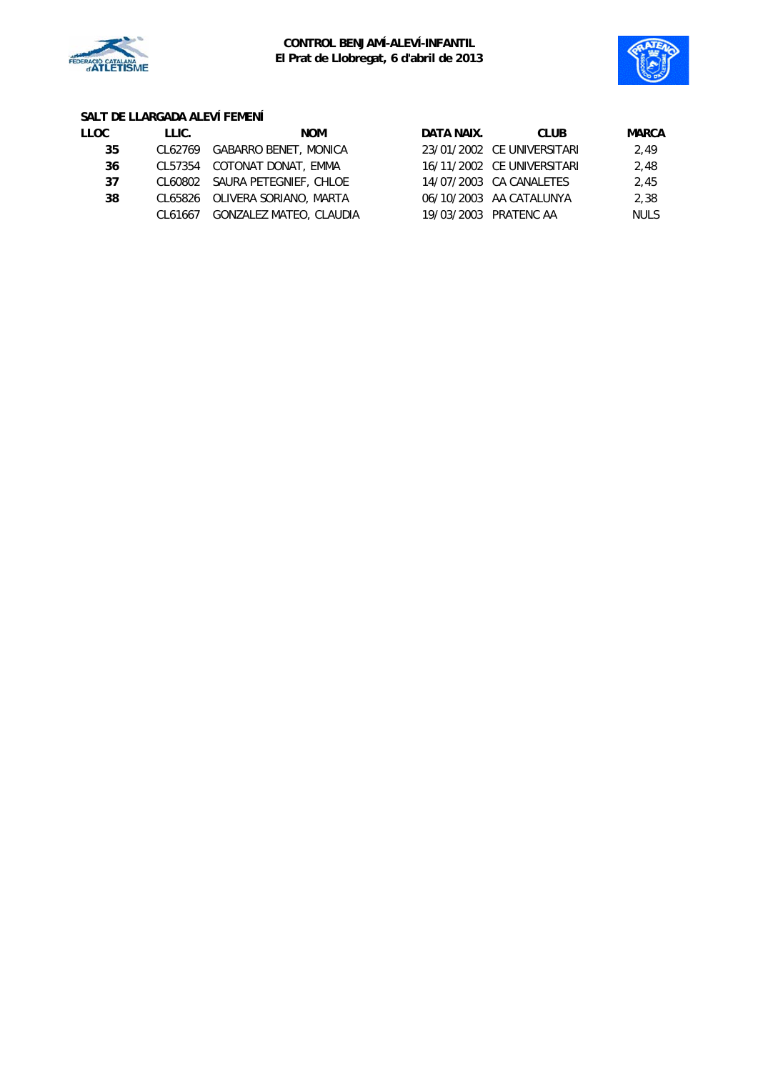



# **SALT DE LLARGADA ALEVÍ FEMENÍ**

| LLOC. | LLIC. | <b>NOM</b>                      | DATA NAIX. | <b>CLUB</b>                | <b>MARCA</b> |
|-------|-------|---------------------------------|------------|----------------------------|--------------|
| 35    |       | CL62769 GABARRO BENET, MONICA   |            | 23/01/2002 CE UNIVERSITARI | 2.49         |
| 36    |       | CL57354 COTONAT DONAT, EMMA     |            | 16/11/2002 CE UNIVERSITARI | 2.48         |
| 37    |       | CL60802 SAURA PETEGNIEF, CHLOE  |            | 14/07/2003 CA CANALETES    | 2.45         |
| 38    |       | CL65826 OLIVERA SORIANO, MARTA  |            | 06/10/2003 AA CATALUNYA    | 2,38         |
|       |       | CL61667 GONZALEZ MATEO, CLAUDIA |            | 19/03/2003 PRATENC AA      | <b>NULS</b>  |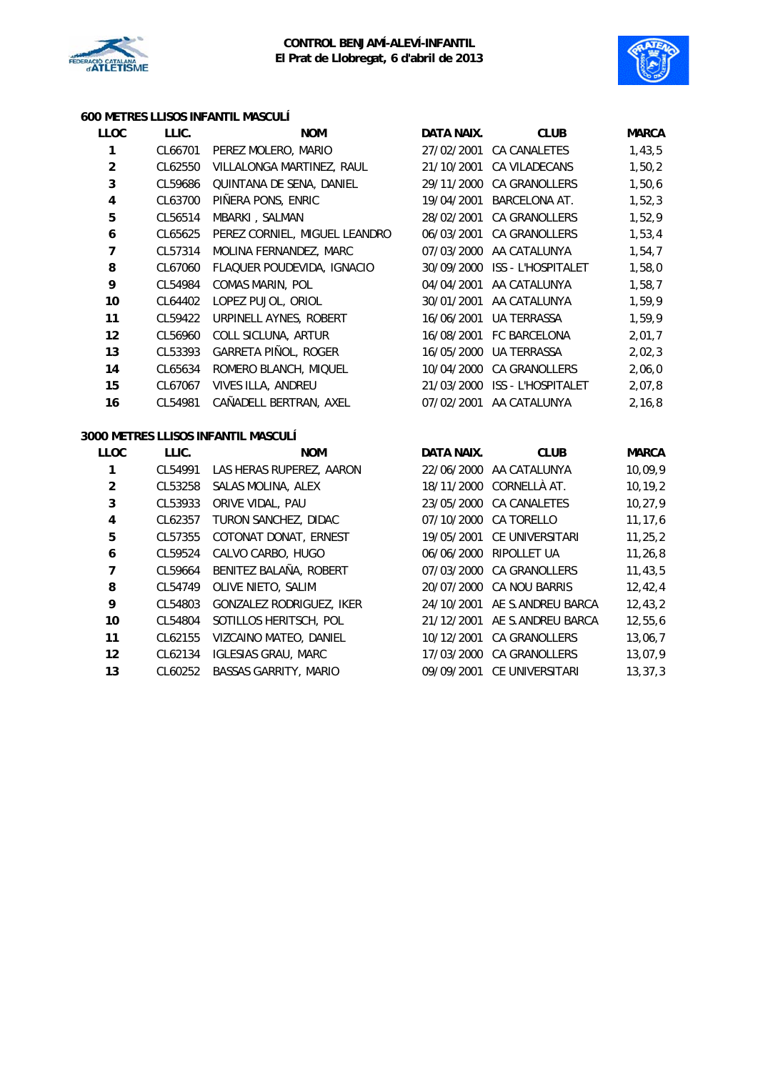



#### **600 METRES LLISOS INFANTIL MASCULÍ**

| <b>LLOC</b>             | LLIC.   | <b>NOM</b>                          | DATA NAIX. | <b>CLUB</b>                   | <b>MARCA</b> |
|-------------------------|---------|-------------------------------------|------------|-------------------------------|--------------|
| 1                       | CL66701 | PEREZ MOLERO, MARIO                 | 27/02/2001 | <b>CA CANALETES</b>           | 1,43,5       |
| $\overline{a}$          | CL62550 | VILLALONGA MARTINEZ, RAUL           |            | 21/10/2001 CA VILADECANS      | 1,50,2       |
| 3                       | CL59686 | QUINTANA DE SENA, DANIEL            |            | 29/11/2000 CA GRANOLLERS      | 1,50,6       |
| $\overline{\mathbf{4}}$ | CL63700 | PIÑERA PONS, ENRIC                  | 19/04/2001 | <b>BARCELONA AT.</b>          | 1,52,3       |
| 5                       | CL56514 | MBARKI, SALMAN                      | 28/02/2001 | CA GRANOLLERS                 | 1,52,9       |
| $\boldsymbol{6}$        | CL65625 | PEREZ CORNIEL, MIGUEL LEANDRO       | 06/03/2001 | <b>CA GRANOLLERS</b>          | 1,53,4       |
| $\overline{7}$          | CL57314 | MOLINA FERNANDEZ, MARC              |            | 07/03/2000 AA CATALUNYA       | 1,54,7       |
| 8                       | CL67060 | FLAQUER POUDEVIDA, IGNACIO          | 30/09/2000 | ISS - L'HOSPITALET            | 1,58,0       |
| 9                       | CL54984 | COMAS MARIN, POL                    |            | 04/04/2001 AA CATALUNYA       | 1,58,7       |
| 10                      | CL64402 | LOPEZ PUJOL, ORIOL                  | 30/01/2001 | AA CATALUNYA                  | 1,59,9       |
| 11                      | CL59422 | URPINELL AYNES, ROBERT              | 16/06/2001 | <b>UA TERRASSA</b>            | 1,59,9       |
| 12                      | CL56960 | COLL SICLUNA, ARTUR                 |            | 16/08/2001 FC BARCELONA       | 2,01,7       |
| 13                      | CL53393 | GARRETA PIÑOL, ROGER                | 16/05/2000 | <b>UA TERRASSA</b>            | 2,02,3       |
| 14                      | CL65634 | ROMERO BLANCH, MIQUEL               |            | 10/04/2000 CA GRANOLLERS      | 2,06,0       |
| 15                      | CL67067 | VIVES ILLA, ANDREU                  |            | 21/03/2000 ISS - L'HOSPITALET | 2,07,8       |
| 16                      | CL54981 | CAÑADELL BERTRAN, AXEL              |            | 07/02/2001 AA CATALUNYA       | 2, 16, 8     |
|                         |         | 3000 METRES LLISOS INFANTIL MASCULÍ |            |                               |              |
| <b>LLOC</b>             | LLIC.   | <b>NOM</b>                          | DATA NAIX. | <b>CLUB</b>                   | <b>MARCA</b> |
| 1                       | CL54991 | LAS HERAS RUPEREZ, AARON            |            | 22/06/2000 AA CATALUNYA       | 10,09,9      |
| $\overline{2}$          | CL53258 | SALAS MOLINA, ALEX                  |            | 18/11/2000 CORNELLÀ AT.       | 10, 19, 2    |
| 3                       | CL53933 | ORIVE VIDAL, PAU                    |            | 23/05/2000 CA CANALETES       | 10, 27, 9    |
| $\overline{\mathbf{4}}$ | CL62357 | TURON SANCHEZ, DIDAC                |            | 07/10/2000 CA TORELLO         | 11, 17, 6    |
| 5                       | CL57355 | COTONAT DONAT, ERNEST               |            | 19/05/2001 CE UNIVERSITARI    | 11, 25, 2    |
| 6                       | CL59524 | CALVO CARBO, HUGO                   | 06/06/2000 | RIPOLLET UA                   | 11, 26, 8    |
| 7                       | CL59664 | BENITEZ BALAÑA, ROBERT              |            | 07/03/2000 CA GRANOLLERS      | 11, 43, 5    |
| 8                       | CL54749 | OLIVE NIETO, SALIM                  |            | 20/07/2000 CA NOU BARRIS      | 12,42,4      |
| 9                       | CL54803 | GONZALEZ RODRIGUEZ, IKER            | 24/10/2001 | AE S.ANDREU BARCA             | 12, 43, 2    |

 CL54804 SOTILLOS HERITSCH, POL 21/12/2001 AE S.ANDREU BARCA 12,55,6 CL62155 VIZCAINO MATEO, DANIEL 10/12/2001 CA GRANOLLERS 13,06,7 CL62134 IGLESIAS GRAU, MARC 17/03/2000 CA GRANOLLERS 13,07,9 13 CL60252 BASSAS GARRITY, MARIO 09/09/2001 CE UNIVERSITARI 13,37,3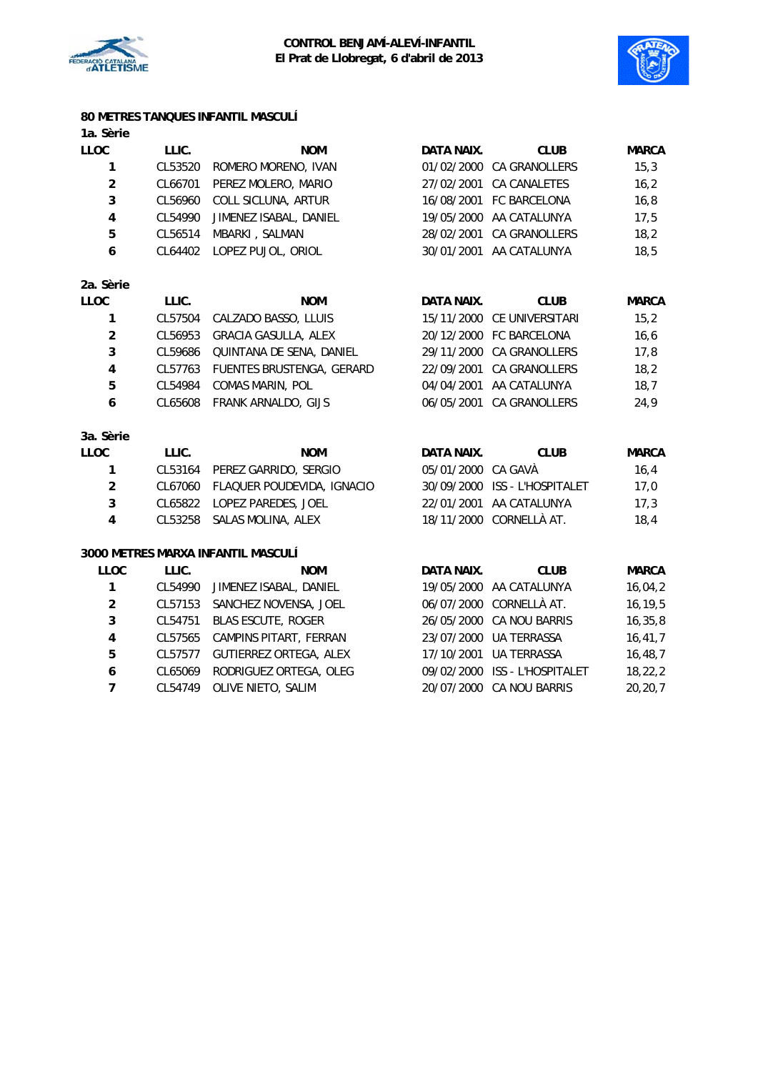



# **80 METRES TANQUES INFANTIL MASCULÍ**

| 1a. Sèrie      |         |                             |            |                         |              |
|----------------|---------|-----------------------------|------------|-------------------------|--------------|
| LLOC           | LLIC.   | <b>NOM</b>                  | DATA NAIX. | <b>CLUB</b>             | <b>MARCA</b> |
| 1              | CL53520 | ROMERO MORENO, IVAN         | 01/02/2000 | <b>CA GRANOLLERS</b>    | 15,3         |
| $\overline{2}$ | CL66701 | PEREZ MOLERO, MARIO         | 27/02/2001 | <b>CA CANALETES</b>     | 16, 2        |
| 3              | CL56960 | COLL SICLUNA, ARTUR         | 16/08/2001 | <b>FC BARCELONA</b>     | 16,8         |
| 4              | CL54990 | JIMENEZ ISABAL, DANIEL      | 19/05/2000 | AA CATALUNYA            | 17,5         |
| 5              | CL56514 | MBARKI, SALMAN              | 28/02/2001 | CA GRANOLLERS           | 18,2         |
| 6              | CL64402 | LOPEZ PUJOL, ORIOL          | 30/01/2001 | AA CATALUNYA            | 18,5         |
| 2a. Sèrie      |         |                             |            |                         |              |
| <b>LLOC</b>    | LLIC.   | <b>NOM</b>                  | DATA NAIX. | <b>CLUB</b>             | <b>MARCA</b> |
| 1              | CL57504 | CALZADO BASSO, LLUIS        | 15/11/2000 | CE UNIVERSITARI         | 15,2         |
| $\overline{a}$ | CL56953 | <b>GRACIA GASULLA, ALEX</b> | 20/12/2000 | <b>FC BARCELONA</b>     | 16, 6        |
| 3              | CL59686 | QUINTANA DE SENA, DANIEL    | 29/11/2000 | CA GRANOLLERS           | 17,8         |
| 4              | CL57763 | FUENTES BRUSTENGA, GERARD   | 22/09/2001 | <b>CA GRANOLLERS</b>    | 18,2         |
| 5              | CL54984 | COMAS MARIN, POL            | 04/04/2001 | AA CATALUNYA            | 18,7         |
| 6              | CL65608 | FRANK ARNALDO, GIJS         | 06/05/2001 | <b>CA GRANOLLERS</b>    | 24,9         |
| 3a. Sèrie      |         |                             |            |                         |              |
| <b>LLOC</b>    | LLIC.   | <b>NOM</b>                  | DATA NAIX. | <b>CLUB</b>             | <b>MARCA</b> |
| 1              | CL53164 | PEREZ GARRIDO, SERGIO       | 05/01/2000 | CA GAVÀ                 | 16,4         |
| $\overline{2}$ | CL67060 | FLAQUER POUDEVIDA, IGNACIO  | 30/09/2000 | ISS - L'HOSPITALET      | 17,0         |
| 3              | CL65822 | LOPEZ PAREDES, JOEL         | 22/01/2001 | AA CATALUNYA            | 17,3         |
| 4              | CL53258 | SALAS MOLINA, ALEX          |            | 18/11/2000 CORNELLÀ AT. | 18,4         |

### **3000 METRES MARXA INFANTIL MASCULÍ**

| LLOC           | LLIC.   | <b>NOM</b>                    | DATA NAIX. | <b>CLUB</b>                   | <b>MARCA</b> |
|----------------|---------|-------------------------------|------------|-------------------------------|--------------|
| $\mathbf{1}$   | CL54990 | JIMENEZ ISABAL, DANIEL        |            | 19/05/2000 AA CATALUNYA       | 16,04,2      |
| $\overline{2}$ | CL57153 | SANCHEZ NOVENSA, JOEL         |            | 06/07/2000 CORNELLÀ AT.       | 16, 19, 5    |
| 3              | CL54751 | <b>BLAS ESCUTE, ROGER</b>     |            | 26/05/2000 CA NOU BARRIS      | 16, 35, 8    |
| 4              | CL57565 | CAMPINS PITART, FERRAN        |            | 23/07/2000 UA TERRASSA        | 16, 41, 7    |
| 5              | CL57577 | <b>GUTIERREZ ORTEGA, ALEX</b> |            | 17/10/2001 UA TERRASSA        | 16, 48, 7    |
| 6              | CL65069 | RODRIGUEZ ORTEGA, OLEG        |            | 09/02/2000 ISS - L'HOSPITALET | 18, 22, 2    |
| 7              | CL54749 | OLIVE NIETO, SALIM            |            | 20/07/2000 CA NOU BARRIS      | 20, 20, 7    |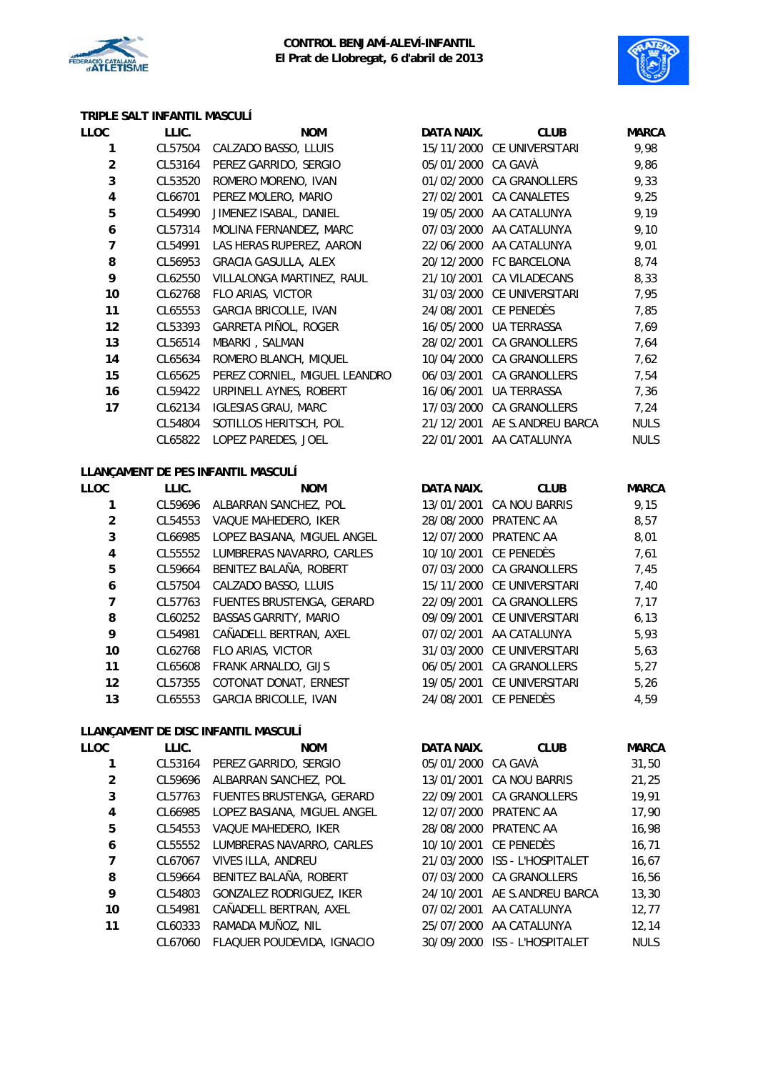



## **TRIPLE SALT INFANTIL MASCULÍ**

| LLOC           | LLIC.   | <b>NOM</b>                         | DATA NAIX. | <b>CLUB</b>          | <b>MARCA</b> |
|----------------|---------|------------------------------------|------------|----------------------|--------------|
| 1              | CL57504 | CALZADO BASSO, LLUIS               | 15/11/2000 | CE UNIVERSITARI      | 9,98         |
| $\overline{2}$ | CL53164 | PEREZ GARRIDO, SERGIO              | 05/01/2000 | CA GAVÀ              | 9,86         |
| 3              | CL53520 | ROMERO MORENO, IVAN                | 01/02/2000 | CA GRANOLLERS        | 9,33         |
| 4              | CL66701 | PEREZ MOLERO, MARIO                | 27/02/2001 | <b>CA CANALETES</b>  | 9,25         |
| 5              | CL54990 | JIMENEZ ISABAL, DANIEL             | 19/05/2000 | AA CATALUNYA         | 9,19         |
| 6              | CL57314 | MOLINA FERNANDEZ, MARC             | 07/03/2000 | AA CATALUNYA         | 9,10         |
| 7              | CL54991 | LAS HERAS RUPEREZ, AARON           | 22/06/2000 | AA CATALUNYA         | 9,01         |
| 8              | CL56953 | GRACIA GASULLA, ALEX               | 20/12/2000 | FC BARCELONA         | 8,74         |
| 9              | CL62550 | VILLALONGA MARTINEZ, RAUL          | 21/10/2001 | CA VILADECANS        | 8,33         |
| 10             | CL62768 | FLO ARIAS, VICTOR                  | 31/03/2000 | CE UNIVERSITARI      | 7,95         |
| 11             | CL65553 | <b>GARCIA BRICOLLE, IVAN</b>       | 24/08/2001 | CE PENEDÈS           | 7,85         |
| 12             | CL53393 | GARRETA PIÑOL, ROGER               | 16/05/2000 | UA TERRASSA          | 7,69         |
| 13             | CL56514 | MBARKI, SALMAN                     | 28/02/2001 | <b>CA GRANOLLERS</b> | 7,64         |
| 14             | CL65634 | ROMERO BLANCH, MIQUEL              | 10/04/2000 | <b>CA GRANOLLERS</b> | 7,62         |
| 15             | CL65625 | PEREZ CORNIEL, MIGUEL LEANDRO      | 06/03/2001 | CA GRANOLLERS        | 7,54         |
| 16             | CL59422 | URPINELL AYNES, ROBERT             | 16/06/2001 | UA TERRASSA          | 7,36         |
| 17             | CL62134 | <b>IGLESIAS GRAU, MARC</b>         | 17/03/2000 | <b>CA GRANOLLERS</b> | 7,24         |
|                | CL54804 | SOTILLOS HERITSCH, POL             | 21/12/2001 | AE S.ANDREU BARCA    | <b>NULS</b>  |
|                | CL65822 | LOPEZ PAREDES, JOEL                | 22/01/2001 | AA CATALUNYA         | <b>NULS</b>  |
|                |         | LLANCAMENT DE DES INFANTIL MASCULÍ |            |                      |              |

#### **LLANÇAMENT DE PES INFANTIL MASCULÍ**

| <b>LLOC</b>    | LLIC.   | <b>NOM</b>                   | DATA NAIX. | <b>CLUB</b>                | <b>MARCA</b> |
|----------------|---------|------------------------------|------------|----------------------------|--------------|
|                | CL59696 | ALBARRAN SANCHEZ, POL        |            | 13/01/2001 CA NOU BARRIS   | 9,15         |
| $\overline{2}$ | CL54553 | VAQUE MAHEDERO, IKER         | 28/08/2000 | PRATENC AA                 | 8,57         |
| 3              | CL66985 | LOPEZ BASIANA, MIGUEL ANGEL  |            | 12/07/2000 PRATENC AA      | 8,01         |
| 4              | CL55552 | LUMBRERAS NAVARRO, CARLES    |            | 10/10/2001 CE PENEDÈS      | 7,61         |
| 5              | CL59664 | BENITEZ BALAÑA, ROBERT       |            | 07/03/2000 CA GRANOLLERS   | 7,45         |
| 6              | CL57504 | CALZADO BASSO, LLUIS         |            | 15/11/2000 CE UNIVERSITARI | 7,40         |
| 7              | CL57763 | FUENTES BRUSTENGA, GERARD    | 22/09/2001 | CA GRANOLLERS              | 7,17         |
| 8              | CL60252 | <b>BASSAS GARRITY, MARIO</b> |            | 09/09/2001 CE UNIVERSITARI | 6, 13        |
| 9              | CL54981 | CAÑADELL BERTRAN, AXEL       | 07/02/2001 | AA CATALUNYA               | 5,93         |
| 10             | CL62768 | FLO ARIAS, VICTOR            |            | 31/03/2000 CE UNIVERSITARI | 5,63         |
| 11             | CL65608 | <b>FRANK ARNALDO, GIJS</b>   | 06/05/2001 | <b>CA GRANOLLERS</b>       | 5,27         |
| 12             | CL57355 | COTONAT DONAT, ERNEST        | 19/05/2001 | CE UNIVERSITARI            | 5,26         |
| 13             | CL65553 | <b>GARCIA BRICOLLE, IVAN</b> | 24/08/2001 | CE PENEDÈS                 | 4.59         |

### **LLANÇAMENT DE DISC INFANTIL MASCULÍ**

| LLOC           | LLIC.   | <b>NOM</b>                       | DATA NAIX.         | <b>CLUB</b>               | <b>MARCA</b> |
|----------------|---------|----------------------------------|--------------------|---------------------------|--------------|
|                | CL53164 | PEREZ GARRIDO, SERGIO            | 05/01/2000 CA GAVA |                           | 31,50        |
| $\overline{2}$ | CL59696 | ALBARRAN SANCHEZ, POL            | 13/01/2001         | <b>CA NOU BARRIS</b>      | 21.25        |
| 3              | CL57763 | <b>FUENTES BRUSTENGA, GERARD</b> | 22/09/2001         | <b>CA GRANOLLERS</b>      | 19.91        |
| 4              | CL66985 | LOPEZ BASIANA, MIGUEL ANGEL      | 12/07/2000         | PRATENC AA                | 17,90        |
| 5              | CL54553 | VAQUE MAHEDERO, IKER             | 28/08/2000         | PRATENC AA                | 16,98        |
| 6              | CL55552 | LUMBRERAS NAVARRO, CARLES        |                    | 10/10/2001 CE PENEDÈS     | 16.71        |
| 7              | CL67067 | VIVES ILLA, ANDREU               | 21/03/2000         | ISS - L'HOSPITALET        | 16,67        |
| 8              | CL59664 | BENITEZ BALAÑA, ROBERT           |                    | 07/03/2000 CA GRANOLLERS  | 16,56        |
| 9              | CL54803 | <b>GONZALEZ RODRIGUEZ, IKER</b>  | 24/10/2001         | AE S.ANDREU BARCA         | 13,30        |
| 10             | CL54981 | CAÑADELL BERTRAN, AXEL           | 07/02/2001         | AA CATALUNYA              | 12,77        |
| 11             | CL60333 | RAMADA MUÑOZ, NIL                | 25/07/2000         | AA CATALUNYA              | 12.14        |
|                | CL67060 | FLAQUER POUDEVIDA, IGNACIO       | 30/09/2000         | <b>ISS - L'HOSPITALET</b> | <b>NULS</b>  |
|                |         |                                  |                    |                           |              |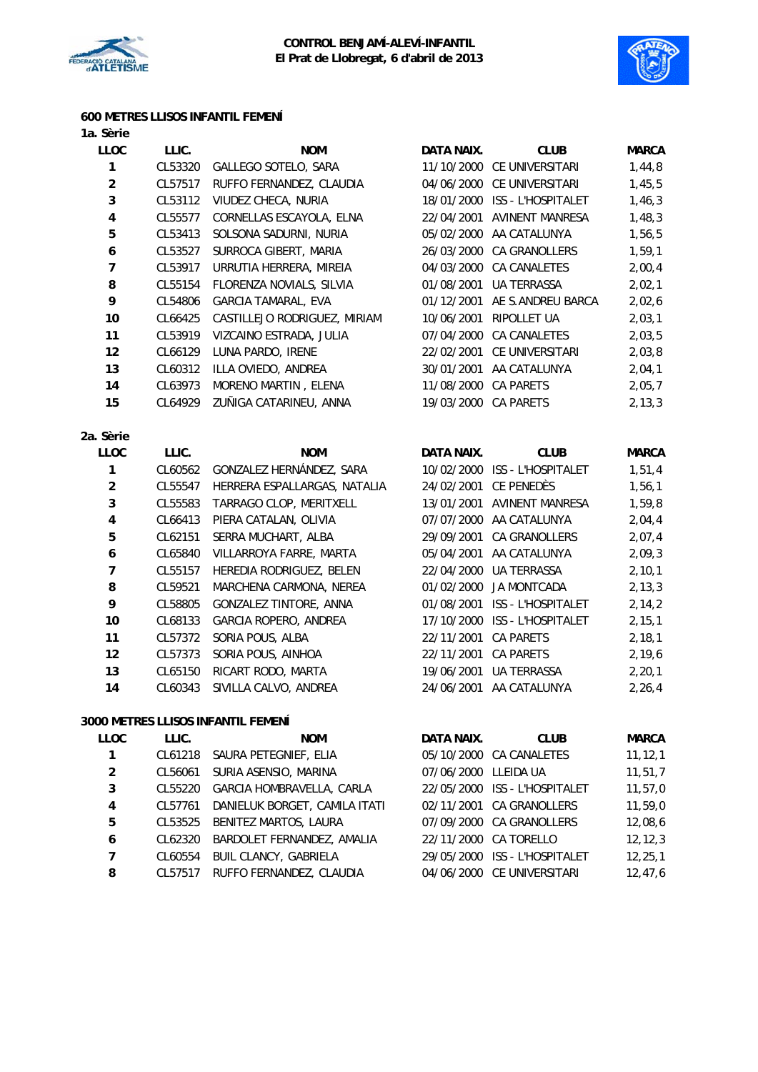



### **600 METRES LLISOS INFANTIL FEMENÍ**

| 1a. Sèrie               |         |                                                      |                      |                               |              |
|-------------------------|---------|------------------------------------------------------|----------------------|-------------------------------|--------------|
| LLOC                    | LLIC.   | <b>NOM</b>                                           | DATA NAIX.           | <b>CLUB</b>                   | <b>MARCA</b> |
| $\mathbf{1}$            | CL53320 | GALLEGO SOTELO, SARA                                 |                      | 11/10/2000 CE UNIVERSITARI    | 1,44,8       |
| $\boldsymbol{2}$        | CL57517 | RUFFO FERNANDEZ, CLAUDIA                             |                      | 04/06/2000 CE UNIVERSITARI    | 1,45,5       |
| 3                       | CL53112 | VIUDEZ CHECA, NURIA<br>18/01/2000 ISS - L'HOSPITALET |                      |                               | 1,46,3       |
| $\pmb{4}$               | CL55577 | CORNELLAS ESCAYOLA, ELNA                             | 22/04/2001           | <b>AVINENT MANRESA</b>        | 1,48,3       |
| 5                       | CL53413 | SOLSONA SADURNI, NURIA                               | 05/02/2000           | AA CATALUNYA                  | 1,56,5       |
| $\boldsymbol{6}$        | CL53527 | SURROCA GIBERT, MARIA                                | 26/03/2000           | CA GRANOLLERS                 | 1,59,1       |
| $\boldsymbol{7}$        | CL53917 | URRUTIA HERRERA, MIREIA                              |                      | 04/03/2000 CA CANALETES       | 2,00,4       |
| 8                       | CL55154 | FLORENZA NOVIALS, SILVIA                             | 01/08/2001           | UA TERRASSA                   | 2,02,1       |
| 9                       | CL54806 | <b>GARCIA TAMARAL, EVA</b>                           | 01/12/2001           | AE S.ANDREU BARCA             | 2,02,6       |
| 10                      | CL66425 | CASTILLEJO RODRIGUEZ, MIRIAM                         | 10/06/2001           | RIPOLLET UA                   | 2,03,1       |
| 11                      | CL53919 | VIZCAINO ESTRADA, JULIA                              |                      | 07/04/2000 CA CANALETES       | 2,03,5       |
| 12                      | CL66129 | LUNA PARDO, IRENE                                    |                      | 22/02/2001 CE UNIVERSITARI    | 2,03,8       |
| 13                      | CL60312 | ILLA OVIEDO, ANDREA                                  |                      | 30/01/2001 AA CATALUNYA       | 2,04,1       |
| 14                      | CL63973 | MORENO MARTIN, ELENA                                 | 11/08/2000           | CA PARETS                     | 2,05,7       |
| 15                      | CL64929 | ZUÑIGA CATARINEU, ANNA                               | 19/03/2000 CA PARETS |                               | 2, 13, 3     |
| 2a. Sèrie               |         |                                                      |                      |                               |              |
| LLOC                    | LLIC.   | <b>NOM</b>                                           | DATA NAIX.           | <b>CLUB</b>                   | <b>MARCA</b> |
| $\mathbf{1}$            | CL60562 | GONZALEZ HERNÁNDEZ, SARA                             |                      | 10/02/2000 ISS - L'HOSPITALET | 1,51,4       |
| $\overline{2}$          | CL55547 | HERRERA ESPALLARGAS, NATALIA                         | 24/02/2001           | CE PENEDÈS                    | 1,56,1       |
| 3                       | CL55583 | TARRAGO CLOP, MERITXELL                              | 13/01/2001           | <b>AVINENT MANRESA</b>        | 1,59,8       |
| $\pmb{4}$               | CL66413 | PIERA CATALAN, OLIVIA                                |                      | 07/07/2000 AA CATALUNYA       | 2,04,4       |
| 5                       | CL62151 | SERRA MUCHART, ALBA                                  |                      | 29/09/2001 CA GRANOLLERS      | 2,07,4       |
| $\boldsymbol{6}$        | CL65840 | VILLARROYA FARRE, MARTA                              | 05/04/2001           | AA CATALUNYA                  | 2,09,3       |
| $\overline{7}$          | CL55157 | HEREDIA RODRIGUEZ, BELEN                             | 22/04/2000           | UA TERRASSA                   | 2, 10, 1     |
| 8                       | CL59521 | MARCHENA CARMONA, NEREA                              | 01/02/2000           | <b>JA MONTCADA</b>            | 2, 13, 3     |
| 9                       | CL58805 | GONZALEZ TINTORE, ANNA                               |                      | 01/08/2001 ISS - L'HOSPITALET | 2, 14, 2     |
| 10                      | CL68133 | GARCIA ROPERO, ANDREA                                |                      | 17/10/2000 ISS - L'HOSPITALET | 2, 15, 1     |
| 11                      | CL57372 | SORIA POUS, ALBA                                     | 22/11/2001           | <b>CA PARETS</b>              | 2, 18, 1     |
| 12                      | CL57373 | SORIA POUS, AINHOA                                   | 22/11/2001           | <b>CA PARETS</b>              | 2, 19, 6     |
| 13                      | CL65150 | RICART RODO, MARTA                                   | 19/06/2001           | UA TERRASSA                   | 2, 20, 1     |
| 14                      | CL60343 | SIVILLA CALVO, ANDREA                                |                      | 24/06/2001 AA CATALUNYA       | 2,26,4       |
|                         |         | 3000 METRES LLISOS INFANTIL FEMENÍ                   |                      |                               |              |
| <b>LLOC</b>             | LLIC.   | <b>NOM</b>                                           | <b>DATA NAIX.</b>    | <b>CLUB</b>                   | <b>MARCA</b> |
| 1                       | CL61218 | SAURA PETEGNIEF, ELIA                                |                      | 05/10/2000 CA CANALETES       | 11, 12, 1    |
| $\overline{\mathbf{c}}$ | CL56061 | SURIA ASENSIO, MARINA                                | 07/06/2000 LLEIDA UA |                               | 11,51,7      |
| 3                       | CL55220 | GARCIA HOMBRAVELLA, CARLA                            |                      | 22/05/2000 ISS - L'HOSPITALET | 11, 57, 0    |
| 4                       | CL57761 | DANIELUK BORGET, CAMILA ITATI                        | 02/11/2001           | CA GRANOLLERS                 | 11,59,0      |

 CL53525 BENITEZ MARTOS, LAURA 07/09/2000 CA GRANOLLERS 12,08,6 CL62320 BARDOLET FERNANDEZ, AMALIA 22/11/2000 CA TORELLO 12,12,3 CL60554 BUIL CLANCY, GABRIELA 29/05/2000 ISS - L'HOSPITALET 12,25,1 8 CL57517 RUFFO FERNANDEZ, CLAUDIA 04/06/2000 CE UNIVERSITARI 12,47,6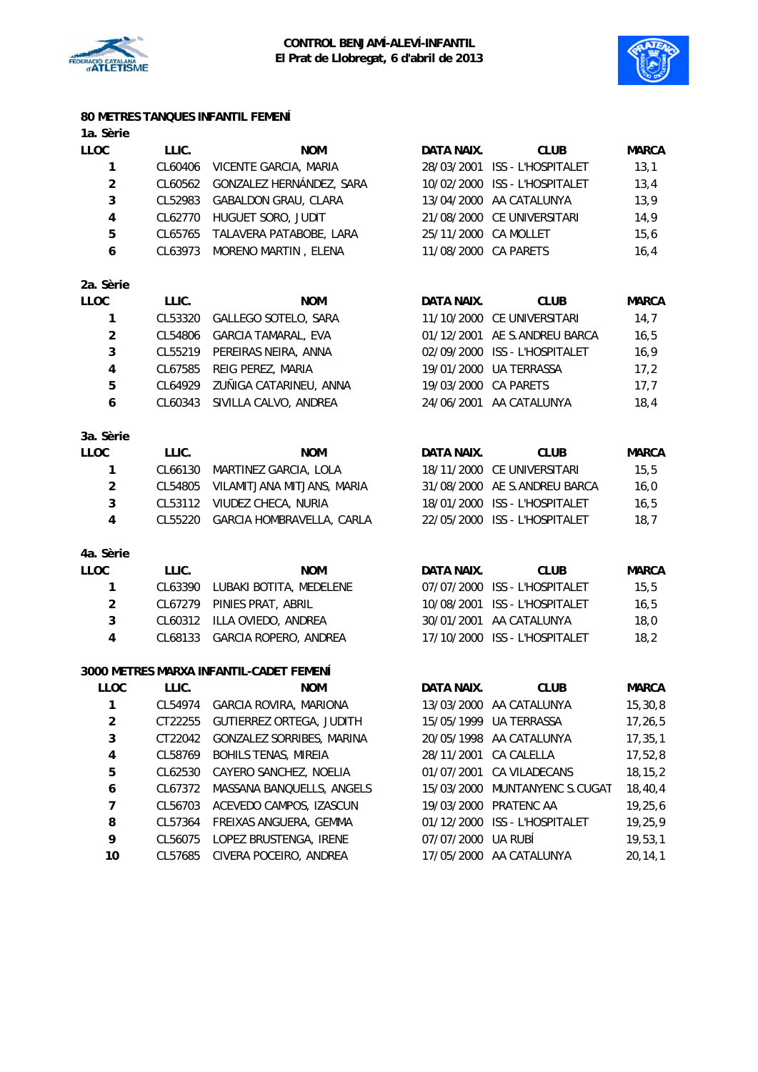



## **80 METRES TANQUES INFANTIL FEMENÍ**

| 1a. Sèrie               |         |                                         |                      |                               |              |
|-------------------------|---------|-----------------------------------------|----------------------|-------------------------------|--------------|
| <b>LLOC</b>             | LLIC.   | <b>NOM</b>                              | DATA NAIX.           | <b>CLUB</b>                   | <b>MARCA</b> |
| 1                       | CL60406 | VICENTE GARCIA, MARIA                   |                      | 28/03/2001 ISS - L'HOSPITALET | 13,1         |
| $\boldsymbol{2}$        | CL60562 | GONZALEZ HERNÁNDEZ, SARA                |                      | 10/02/2000 ISS - L'HOSPITALET | 13,4         |
| 3                       | CL52983 | GABALDON GRAU, CLARA                    |                      | 13/04/2000 AA CATALUNYA       | 13,9         |
| $\overline{\mathbf{4}}$ | CL62770 | HUGUET SORO, JUDIT                      |                      | 21/08/2000 CE UNIVERSITARI    | 14,9         |
| 5                       | CL65765 | TALAVERA PATABOBE, LARA                 | 25/11/2000           | CA MOLLET                     | 15,6         |
| 6                       | CL63973 | MORENO MARTIN, ELENA                    | 11/08/2000           | <b>CA PARETS</b>              | 16,4         |
| 2a. Sèrie               |         |                                         |                      |                               |              |
| <b>LLOC</b>             | LLIC.   | <b>NOM</b>                              | DATA NAIX.           | <b>CLUB</b>                   | <b>MARCA</b> |
| 1                       | CL53320 | GALLEGO SOTELO, SARA                    |                      | 11/10/2000 CE UNIVERSITARI    | 14,7         |
| $\overline{a}$          | CL54806 | <b>GARCIA TAMARAL, EVA</b>              |                      | 01/12/2001 AE S.ANDREU BARCA  | 16, 5        |
| 3                       | CL55219 | PEREIRAS NEIRA, ANNA                    |                      | 02/09/2000 ISS - L'HOSPITALET | 16,9         |
| $\overline{\mathbf{4}}$ | CL67585 | REIG PEREZ, MARIA                       |                      | 19/01/2000 UA TERRASSA        | 17,2         |
| 5                       | CL64929 | ZUÑIGA CATARINEU, ANNA                  | 19/03/2000 CA PARETS |                               | 17,7         |
| 6                       | CL60343 | SIVILLA CALVO, ANDREA                   | 24/06/2001           | AA CATALUNYA                  | 18,4         |
| 3a. Sèrie               |         |                                         |                      |                               |              |
| <b>LLOC</b>             | LLIC.   | <b>NOM</b>                              | DATA NAIX.           | <b>CLUB</b>                   | <b>MARCA</b> |
| 1                       | CL66130 | MARTINEZ GARCIA, LOLA                   |                      | 18/11/2000 CE UNIVERSITARI    | 15,5         |
| $\overline{\mathbf{c}}$ | CL54805 | VILAMITJANA MITJANS, MARIA              |                      | 31/08/2000 AE S.ANDREU BARCA  | 16,0         |
| 3                       | CL53112 | VIUDEZ CHECA, NURIA                     |                      | 18/01/2000 ISS - L'HOSPITALET | 16, 5        |
| $\overline{\mathbf{4}}$ | CL55220 | GARCIA HOMBRAVELLA, CARLA               |                      | 22/05/2000 ISS - L'HOSPITALET | 18,7         |
| 4a. Sèrie               |         |                                         |                      |                               |              |
| <b>LLOC</b>             | LLIC.   | <b>NOM</b>                              | DATA NAIX.           | <b>CLUB</b>                   | <b>MARCA</b> |
| 1                       | CL63390 | LUBAKI BOTITA, MEDELENE                 |                      | 07/07/2000 ISS - L'HOSPITALET | 15, 5        |
| $\overline{2}$          | CL67279 | PINIES PRAT, ABRIL                      |                      | 10/08/2001 ISS - L'HOSPITALET | 16, 5        |
| 3                       | CL60312 | ILLA OVIEDO, ANDREA                     | 30/01/2001           | AA CATALUNYA                  | 18,0         |
| 4                       | CL68133 | GARCIA ROPERO, ANDREA                   |                      | 17/10/2000 ISS - L'HOSPITALET | 18,2         |
|                         |         | 3000 METRES MARXA INFANTIL-CADET FEMENÍ |                      |                               |              |
| <b>LLOC</b>             | LLIC.   | <b>NOM</b>                              | DATA NAIX.           | <b>CLUB</b>                   | <b>MARCA</b> |
| 1                       | CL54974 | GARCIA ROVIRA, MARIONA                  | 13/03/2000           | AA CATALUNYA                  | 15,30,8      |
| $\overline{\mathbf{c}}$ | CT22255 | GUTIERREZ ORTEGA, JUDITH                | 15/05/1999           | <b>UA TERRASSA</b>            | 17,26,5      |
| 3                       | CT22042 | GONZALEZ SORRIBES, MARINA               | 20/05/1998           | AA CATALUNYA                  | 17, 35, 1    |
| 4                       | CL58769 | <b>BOHILS TENAS, MIREIA</b>             | 28/11/2001           | CA CALELLA                    | 17,52,8      |
| 5                       | CL62530 | CAYERO SANCHEZ, NOELIA                  | 01/07/2001           | CA VILADECANS                 | 18, 15, 2    |
| 6                       | CL67372 | MASSANA BANQUELLS, ANGELS               |                      | 15/03/2000 MUNTANYENC S.CUGAT | 18, 40, 4    |
| 7                       | CL56703 | ACEVEDO CAMPOS, IZASCUN                 |                      | 19/03/2000 PRATENC AA         | 19,25,6      |
| 8                       | CL57364 | FREIXAS ANGUERA, GEMMA                  | 01/12/2000           | ISS - L'HOSPITALET            | 19,25,9      |
| 9                       | CL56075 | LOPEZ BRUSTENGA, IRENE                  | 07/07/2000           | UA RUBÍ                       | 19, 53, 1    |
| 10                      | CL57685 | CIVERA POCEIRO, ANDREA                  |                      | 17/05/2000 AA CATALUNYA       | 20,14,1      |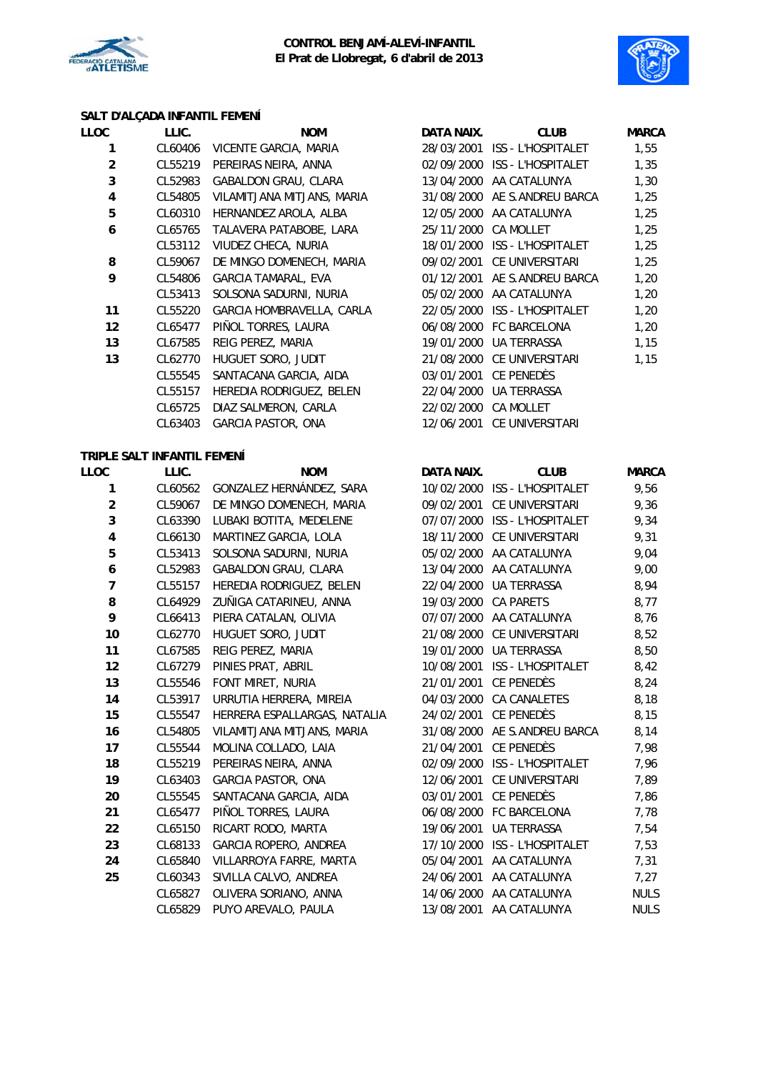



# **SALT D'ALÇADA INFANTIL FEMENÍ**

| LLOC           | LLIC.   | <b>NOM</b>                 | DATA NAIX. | <b>CLUB</b>               | <b>MARCA</b> |
|----------------|---------|----------------------------|------------|---------------------------|--------------|
| 1              | CL60406 | VICENTE GARCIA, MARIA      | 28/03/2001 | ISS - L'HOSPITALET        | 1,55         |
| $\overline{2}$ | CL55219 | PEREIRAS NEIRA, ANNA       | 02/09/2000 | <b>ISS - L'HOSPITALET</b> | 1,35         |
| 3              | CL52983 | GABALDON GRAU, CLARA       | 13/04/2000 | AA CATALUNYA              | 1,30         |
| 4              | CL54805 | VILAMITJANA MITJANS, MARIA | 31/08/2000 | AE S.ANDREU BARCA         | 1,25         |
| 5              | CL60310 | HERNANDEZ AROLA, ALBA      | 12/05/2000 | AA CATALUNYA              | 1,25         |
| 6              | CL65765 | TALAVERA PATABOBE, LARA    | 25/11/2000 | <b>CA MOLLET</b>          | 1,25         |
|                | CL53112 | VIUDEZ CHECA, NURIA        | 18/01/2000 | ISS - L'HOSPITALET        | 1,25         |
| 8              | CL59067 | DE MINGO DOMENECH, MARIA   | 09/02/2001 | CE UNIVERSITARI           | 1,25         |
| 9              | CL54806 | GARCIA TAMARAL, EVA        | 01/12/2001 | AE S.ANDREU BARCA         | 1,20         |
|                | CL53413 | SOLSONA SADURNI, NURIA     | 05/02/2000 | AA CATALUNYA              | 1,20         |
| 11             | CL55220 | GARCIA HOMBRAVELLA, CARLA  | 22/05/2000 | <b>ISS - L'HOSPITALET</b> | 1,20         |
| 12             | CL65477 | PIÑOL TORRES, LAURA        | 06/08/2000 | <b>FC BARCELONA</b>       | 1,20         |
| 13             | CL67585 | REIG PEREZ, MARIA          | 19/01/2000 | UA TERRASSA               | 1,15         |
| 13             | CL62770 | HUGUET SORO, JUDIT         | 21/08/2000 | <b>CE UNIVERSITARI</b>    | 1,15         |
|                | CL55545 | SANTACANA GARCIA, AIDA     | 03/01/2001 | CE PENEDÈS                |              |
|                | CL55157 | HEREDIA RODRIGUEZ, BELEN   | 22/04/2000 | <b>UA TERRASSA</b>        |              |
|                | CL65725 | DIAZ SALMERON, CARLA       | 22/02/2000 | <b>CA MOLLET</b>          |              |
|                | CL63403 | <b>GARCIA PASTOR, ONA</b>  | 12/06/2001 | CE UNIVERSITARI           |              |
|                |         |                            |            |                           |              |

## **TRIPLE SALT INFANTIL FEMENÍ**

| LLOC           | LLIC.   | <b>NOM</b>                   | DATA NAIX. | <b>CLUB</b>                   | <b>MARCA</b> |
|----------------|---------|------------------------------|------------|-------------------------------|--------------|
| 1              | CL60562 | GONZALEZ HERNÁNDEZ, SARA     |            | 10/02/2000 ISS - L'HOSPITALET | 9,56         |
| $\overline{c}$ | CL59067 | DE MINGO DOMENECH, MARIA     | 09/02/2001 | CE UNIVERSITARI               | 9,36         |
| 3              | CL63390 | LUBAKI BOTITA, MEDELENE      | 07/07/2000 | ISS - L'HOSPITALET            | 9,34         |
| 4              | CL66130 | MARTINEZ GARCIA, LOLA        | 18/11/2000 | CE UNIVERSITARI               | 9,31         |
| 5              | CL53413 | SOLSONA SADURNI, NURIA       | 05/02/2000 | AA CATALUNYA                  | 9,04         |
| 6              | CL52983 | GABALDON GRAU, CLARA         |            | 13/04/2000 AA CATALUNYA       | 9,00         |
| 7              | CL55157 | HEREDIA RODRIGUEZ, BELEN     | 22/04/2000 | UA TERRASSA                   | 8,94         |
| 8              | CL64929 | ZUÑIGA CATARINEU, ANNA       | 19/03/2000 | <b>CA PARETS</b>              | 8,77         |
| 9              | CL66413 | PIERA CATALAN, OLIVIA        | 07/07/2000 | AA CATALUNYA                  | 8,76         |
| 10             | CL62770 | HUGUET SORO, JUDIT           | 21/08/2000 | CE UNIVERSITARI               | 8,52         |
| 11             | CL67585 | REIG PEREZ, MARIA            | 19/01/2000 | <b>UA TERRASSA</b>            | 8,50         |
| 12             | CL67279 | PINIES PRAT, ABRIL           | 10/08/2001 | <b>ISS - L'HOSPITALET</b>     | 8,42         |
| 13             | CL55546 | FONT MIRET, NURIA            | 21/01/2001 | <b>CE PENEDÈS</b>             | 8,24         |
| 14             | CL53917 | URRUTIA HERRERA, MIREIA      | 04/03/2000 | <b>CA CANALETES</b>           | 8,18         |
| 15             | CL55547 | HERRERA ESPALLARGAS, NATALIA | 24/02/2001 | CE PENEDÈS                    | 8,15         |
| 16             | CL54805 | VILAMITJANA MITJANS, MARIA   | 31/08/2000 | AE S.ANDREU BARCA             | 8,14         |
| 17             | CL55544 | MOLINA COLLADO, LAIA         | 21/04/2001 | CE PENEDÈS                    | 7,98         |
| 18             | CL55219 | PEREIRAS NEIRA, ANNA         | 02/09/2000 | <b>ISS - L'HOSPITALET</b>     | 7,96         |
| 19             | CL63403 | <b>GARCIA PASTOR, ONA</b>    | 12/06/2001 | <b>CE UNIVERSITARI</b>        | 7,89         |
| 20             | CL55545 | SANTACANA GARCIA, AIDA       | 03/01/2001 | CE PENEDÈS                    | 7,86         |
| 21             | CL65477 | PIÑOL TORRES, LAURA          | 06/08/2000 | FC BARCELONA                  | 7,78         |
| 22             | CL65150 | RICART RODO, MARTA           | 19/06/2001 | UA TERRASSA                   | 7,54         |
| 23             | CL68133 | GARCIA ROPERO, ANDREA        | 17/10/2000 | ISS - L'HOSPITALET            | 7,53         |
| 24             | CL65840 | VILLARROYA FARRE, MARTA      | 05/04/2001 | AA CATALUNYA                  | 7,31         |
| 25             | CL60343 | SIVILLA CALVO, ANDREA        | 24/06/2001 | AA CATALUNYA                  | 7,27         |
|                | CL65827 | OLIVERA SORIANO, ANNA        | 14/06/2000 | AA CATALUNYA                  | <b>NULS</b>  |
|                | CL65829 | PUYO AREVALO, PAULA          | 13/08/2001 | AA CATALUNYA                  | <b>NULS</b>  |

| LLIC.   | <b>NOM</b>                 | DATA NAIX.           | <b>CLUB</b>                   | <b>MARC</b> |
|---------|----------------------------|----------------------|-------------------------------|-------------|
| CL60406 | VICENTE GARCIA, MARIA      |                      | 28/03/2001 ISS - L'HOSPITALET | 1,55        |
| CL55219 | PEREIRAS NEIRA, ANNA       |                      | 02/09/2000 ISS - L'HOSPITALET | 1,35        |
| CL52983 | GABALDON GRAU, CLARA       |                      | 13/04/2000 AA CATALUNYA       | 1,30        |
| CL54805 | VILAMITJANA MITJANS, MARIA |                      | 31/08/2000 AE S.ANDREU BARCA  | 1,25        |
| CL60310 | HERNANDEZ AROLA, ALBA      |                      | 12/05/2000 AA CATALUNYA       | 1,25        |
| CL65765 | TALAVERA PATABOBE, LARA    | 25/11/2000 CA MOLLET |                               | 1,25        |
| CL53112 | VIUDEZ CHECA, NURIA        |                      | 18/01/2000 ISS - L'HOSPITALET | 1,25        |
| CL59067 | DE MINGO DOMENECH, MARIA   |                      | 09/02/2001 CE UNIVERSITARI    | 1,25        |
| CL54806 | GARCIA TAMARAL, EVA        |                      | 01/12/2001 AE S.ANDREU BARCA  | 1,20        |
| CL53413 | SOLSONA SADURNI, NURIA     |                      | 05/02/2000 AA CATALUNYA       | 1,20        |
| CL55220 | GARCIA HOMBRAVELLA, CARLA  |                      | 22/05/2000 ISS L'HOSPITALET   | 1,20        |
| CL65477 | PIÑOL TORRES, LAURA        |                      | 06/08/2000 FC BARCELONA       | 1,20        |
| CL67585 | REIG PEREZ, MARIA          | 19/01/2000           | UA TERRASSA                   | 1,15        |
| CL62770 | HUGUET SORO, JUDIT         |                      | 21/08/2000 CE UNIVERSITARI    | 1,15        |
| CL55545 | SANTACANA GARCIA, AIDA     |                      | 03/01/2001 CE PENEDÈS         |             |
| CL55157 | HEREDIA RODRIGUEZ, BELEN   |                      | 22/04/2000 UA TERRASSA        |             |
| CL65725 | DIAZ SALMERON, CARLA       | 22/02/2000 CA MOLLET |                               |             |
| CL63403 | <b>GARCIA PASTOR, ONA</b>  | 12/06/2001           | CE UNIVERSITARI               |             |

| DATA NAIX. | CLUB                      | MARCA       |
|------------|---------------------------|-------------|
| 10/02/2000 | <b>ISS - L'HOSPITALET</b> | 9,56        |
| 09/02/2001 | CE UNIVERSITARI           | 9.36        |
| 07/07/2000 | <b>ISS - L'HOSPITALET</b> | 9,34        |
| 18/11/2000 | CE UNIVERSITARI           | 9,31        |
| 05/02/2000 | AA CATALUNYA              | 9,04        |
| 13/04/2000 | AA CATALUNYA              | 9,00        |
| 22/04/2000 | UA TERRASSA               | 8,94        |
| 19/03/2000 | <b>CA PARETS</b>          | 8,77        |
| 07/07/2000 | AA CATALUNYA              | 8,76        |
| 21/08/2000 | CE UNIVERSITARI           | 8,52        |
| 19/01/2000 | <b>UA TERRASSA</b>        | 8,50        |
| 10/08/2001 | <b>ISS - L'HOSPITALET</b> | 8,42        |
| 21/01/2001 | ce penedès                | 8,24        |
| 04/03/2000 | <b>CA CANALETES</b>       | 8,18        |
| 24/02/2001 | CE PENEDÈS                | 8,15        |
| 31/08/2000 | AE S.ANDREU BARCA         | 8,14        |
| 21/04/2001 | CE PENEDÈS                | 7,98        |
| 02/09/2000 | <b>ISS - L'HOSPITALET</b> | 7,96        |
| 12/06/2001 | CE UNIVERSITARI           | 7,89        |
| 03/01/2001 | CE PENEDÈS                | 7,86        |
| 06/08/2000 | <b>FC BARCELONA</b>       | 7,78        |
| 19/06/2001 | UA TERRASSA               | 7,54        |
| 17/10/2000 | <b>ISS - L'HOSPITALET</b> | 7,53        |
| 05/04/2001 | AA CATALUNYA              | 7,31        |
| 24/06/2001 | AA CATALUNYA              | 7,27        |
| 14/06/2000 | AA CATALUNYA              | <b>NULS</b> |
| 13/08/2001 | AA CATALUNYA              | <b>NULS</b> |